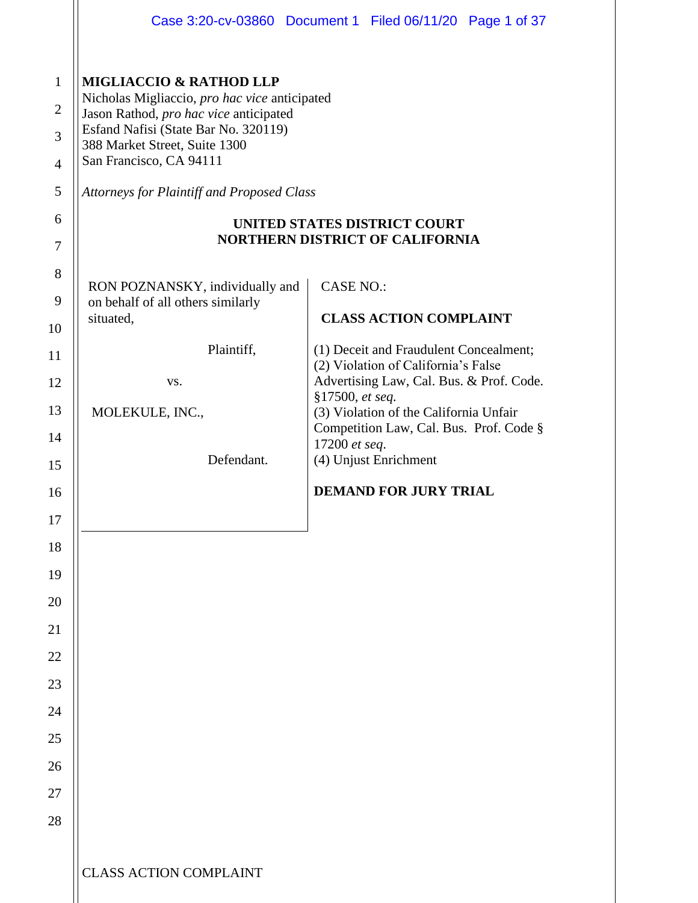|                                                            |                                                                                                                                                                                                                                                                                        | Case 3:20-cv-03860 Document 1 Filed 06/11/20 Page 1 of 37                                             |
|------------------------------------------------------------|----------------------------------------------------------------------------------------------------------------------------------------------------------------------------------------------------------------------------------------------------------------------------------------|-------------------------------------------------------------------------------------------------------|
| $\mathbf{1}$<br>$\overline{2}$<br>3<br>$\overline{4}$<br>5 | <b>MIGLIACCIO &amp; RATHOD LLP</b><br>Nicholas Migliaccio, pro hac vice anticipated<br>Jason Rathod, pro hac vice anticipated<br>Esfand Nafisi (State Bar No. 320119)<br>388 Market Street, Suite 1300<br>San Francisco, CA 94111<br><b>Attorneys for Plaintiff and Proposed Class</b> |                                                                                                       |
| 6                                                          | <b>UNITED STATES DISTRICT COURT</b><br><b>NORTHERN DISTRICT OF CALIFORNIA</b>                                                                                                                                                                                                          |                                                                                                       |
| 7<br>8<br>9                                                | RON POZNANSKY, individually and                                                                                                                                                                                                                                                        | <b>CASE NO.:</b>                                                                                      |
| 10                                                         | on behalf of all others similarly<br><b>CLASS ACTION COMPLAINT</b><br>situated,                                                                                                                                                                                                        |                                                                                                       |
| 11                                                         | Plaintiff,                                                                                                                                                                                                                                                                             | (1) Deceit and Fraudulent Concealment;<br>(2) Violation of California's False                         |
| 12<br>13                                                   | VS.<br>MOLEKULE, INC.,                                                                                                                                                                                                                                                                 | Advertising Law, Cal. Bus. & Prof. Code.<br>§17500, et seq.<br>(3) Violation of the California Unfair |
| 14                                                         |                                                                                                                                                                                                                                                                                        | Competition Law, Cal. Bus. Prof. Code §<br>17200 et seq.                                              |
| 15                                                         | Defendant.                                                                                                                                                                                                                                                                             | (4) Unjust Enrichment                                                                                 |
| 16<br>17                                                   |                                                                                                                                                                                                                                                                                        | <b>DEMAND FOR JURY TRIAL</b>                                                                          |
| 18                                                         |                                                                                                                                                                                                                                                                                        |                                                                                                       |
| 19                                                         |                                                                                                                                                                                                                                                                                        |                                                                                                       |
| 20                                                         |                                                                                                                                                                                                                                                                                        |                                                                                                       |
| 21<br>22                                                   |                                                                                                                                                                                                                                                                                        |                                                                                                       |
| 23                                                         |                                                                                                                                                                                                                                                                                        |                                                                                                       |
| 24                                                         |                                                                                                                                                                                                                                                                                        |                                                                                                       |
| 25<br>26                                                   |                                                                                                                                                                                                                                                                                        |                                                                                                       |
| 27                                                         |                                                                                                                                                                                                                                                                                        |                                                                                                       |
| 28                                                         |                                                                                                                                                                                                                                                                                        |                                                                                                       |
|                                                            | <b>CLASS ACTION COMPLAINT</b>                                                                                                                                                                                                                                                          |                                                                                                       |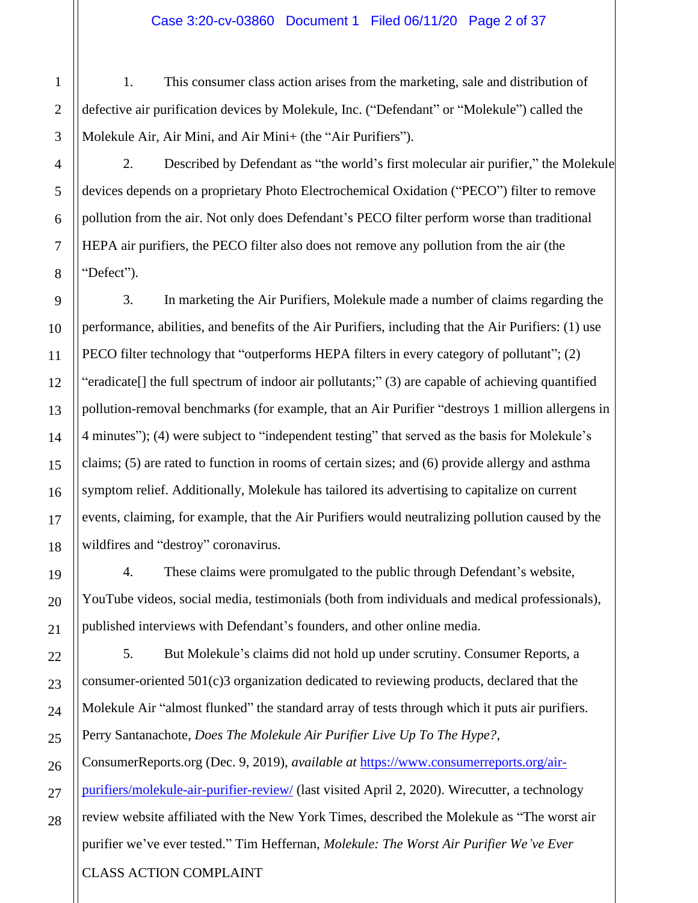1. This consumer class action arises from the marketing, sale and distribution of defective air purification devices by Molekule, Inc. ("Defendant" or "Molekule") called the Molekule Air, Air Mini, and Air Mini+ (the "Air Purifiers").

2. Described by Defendant as "the world's first molecular air purifier," the Molekule devices depends on a proprietary Photo Electrochemical Oxidation ("PECO") filter to remove pollution from the air. Not only does Defendant's PECO filter perform worse than traditional HEPA air purifiers, the PECO filter also does not remove any pollution from the air (the "Defect").

3. In marketing the Air Purifiers, Molekule made a number of claims regarding the performance, abilities, and benefits of the Air Purifiers, including that the Air Purifiers: (1) use PECO filter technology that "outperforms HEPA filters in every category of pollutant"; (2) "eradicate[] the full spectrum of indoor air pollutants;" (3) are capable of achieving quantified pollution-removal benchmarks (for example, that an Air Purifier "destroys 1 million allergens in 4 minutes"); (4) were subject to "independent testing" that served as the basis for Molekule's claims; (5) are rated to function in rooms of certain sizes; and (6) provide allergy and asthma symptom relief. Additionally, Molekule has tailored its advertising to capitalize on current events, claiming, for example, that the Air Purifiers would neutralizing pollution caused by the wildfires and "destroy" coronavirus.

4. These claims were promulgated to the public through Defendant's website, YouTube videos, social media, testimonials (both from individuals and medical professionals), published interviews with Defendant's founders, and other online media.

5. But Molekule's claims did not hold up under scrutiny. Consumer Reports, a consumer-oriented 501(c)3 organization dedicated to reviewing products, declared that the Molekule Air "almost flunked" the standard array of tests through which it puts air purifiers. Perry Santanachote, *Does The Molekule Air Purifier Live Up To The Hype?*, ConsumerReports.org (Dec. 9, 2019), *available at* [https://www.consumerreports.org/air-](https://www.consumerreports.org/air-purifiers/molekule-air-purifier-review/)

[purifiers/molekule-air-purifier-review/](https://www.consumerreports.org/air-purifiers/molekule-air-purifier-review/) (last visited April 2, 2020). Wirecutter, a technology review website affiliated with the New York Times, described the Molekule as "The worst air purifier we've ever tested." Tim Heffernan, *Molekule: The Worst Air Purifier We've Ever*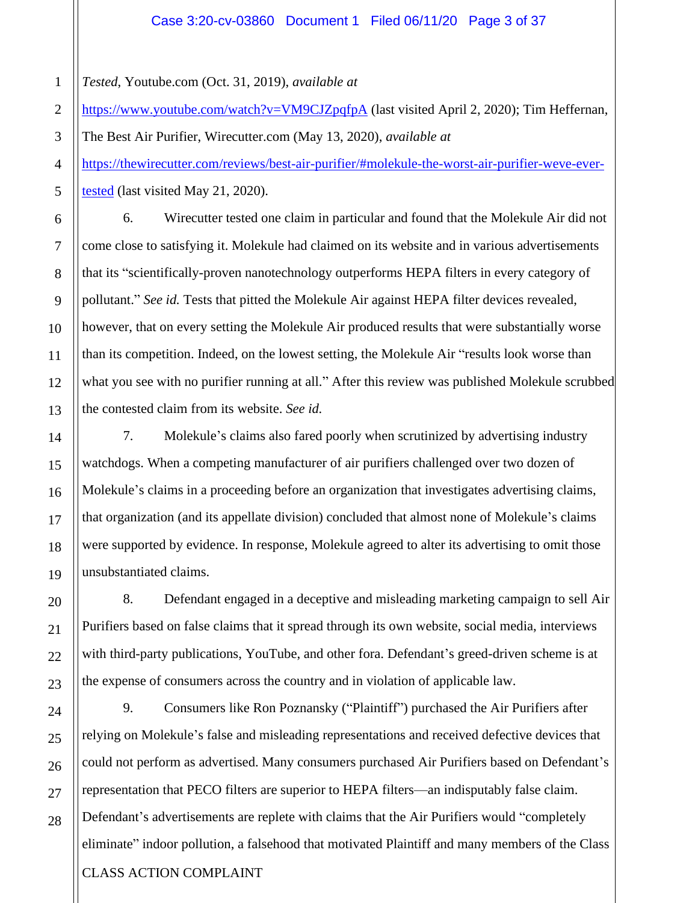*Tested*, Youtube.com (Oct. 31, 2019), *available at* 

<https://www.youtube.com/watch?v=VM9CJZpqfpA> (last visited April 2, 2020); Tim Heffernan,

The Best Air Purifier, Wirecutter.com (May 13, 2020), *available at* [https://thewirecutter.com/reviews/best-air-purifier/#molekule-the-worst-air-purifier-weve-ever](https://thewirecutter.com/reviews/best-air-purifier/#molekule-the-worst-air-purifier-weve-ever-tested)[tested](https://thewirecutter.com/reviews/best-air-purifier/#molekule-the-worst-air-purifier-weve-ever-tested) (last visited May 21, 2020).

6. Wirecutter tested one claim in particular and found that the Molekule Air did not come close to satisfying it. Molekule had claimed on its website and in various advertisements that its "scientifically-proven nanotechnology outperforms HEPA filters in every category of pollutant." *See id.* Tests that pitted the Molekule Air against HEPA filter devices revealed, however, that on every setting the Molekule Air produced results that were substantially worse than its competition. Indeed, on the lowest setting, the Molekule Air "results look worse than what you see with no purifier running at all." After this review was published Molekule scrubbed the contested claim from its website. *See id.*

7. Molekule's claims also fared poorly when scrutinized by advertising industry watchdogs. When a competing manufacturer of air purifiers challenged over two dozen of Molekule's claims in a proceeding before an organization that investigates advertising claims, that organization (and its appellate division) concluded that almost none of Molekule's claims were supported by evidence. In response, Molekule agreed to alter its advertising to omit those unsubstantiated claims.

8. Defendant engaged in a deceptive and misleading marketing campaign to sell Air Purifiers based on false claims that it spread through its own website, social media, interviews with third-party publications, YouTube, and other fora. Defendant's greed-driven scheme is at the expense of consumers across the country and in violation of applicable law.

CLASS ACTION COMPLAINT 9. Consumers like Ron Poznansky ("Plaintiff") purchased the Air Purifiers after relying on Molekule's false and misleading representations and received defective devices that could not perform as advertised. Many consumers purchased Air Purifiers based on Defendant's representation that PECO filters are superior to HEPA filters—an indisputably false claim. Defendant's advertisements are replete with claims that the Air Purifiers would "completely eliminate" indoor pollution, a falsehood that motivated Plaintiff and many members of the Class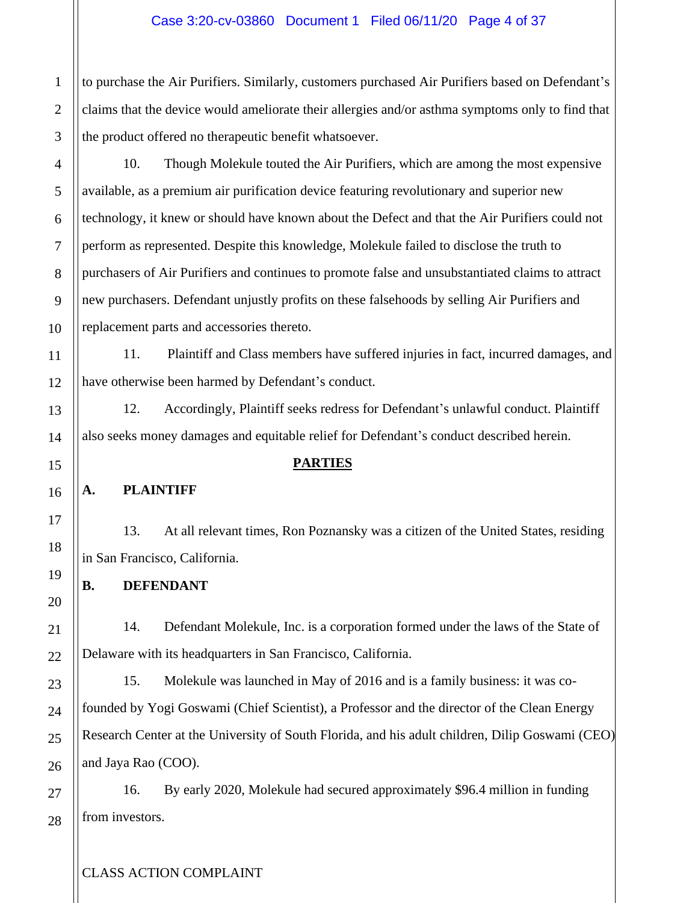to purchase the Air Purifiers. Similarly, customers purchased Air Purifiers based on Defendant's claims that the device would ameliorate their allergies and/or asthma symptoms only to find that the product offered no therapeutic benefit whatsoever.

10. Though Molekule touted the Air Purifiers, which are among the most expensive available, as a premium air purification device featuring revolutionary and superior new technology, it knew or should have known about the Defect and that the Air Purifiers could not perform as represented. Despite this knowledge, Molekule failed to disclose the truth to purchasers of Air Purifiers and continues to promote false and unsubstantiated claims to attract new purchasers. Defendant unjustly profits on these falsehoods by selling Air Purifiers and replacement parts and accessories thereto.

11. Plaintiff and Class members have suffered injuries in fact, incurred damages, and have otherwise been harmed by Defendant's conduct.

12. Accordingly, Plaintiff seeks redress for Defendant's unlawful conduct. Plaintiff also seeks money damages and equitable relief for Defendant's conduct described herein.

### **PARTIES**

## **A. PLAINTIFF**

13. At all relevant times, Ron Poznansky was a citizen of the United States, residing in San Francisco, California.

**B. DEFENDANT**

14. Defendant Molekule, Inc. is a corporation formed under the laws of the State of Delaware with its headquarters in San Francisco, California.

15. Molekule was launched in May of 2016 and is a family business: it was cofounded by Yogi Goswami (Chief Scientist), a Professor and the director of the Clean Energy Research Center at the University of South Florida, and his adult children, Dilip Goswami (CEO) and Jaya Rao (COO).

16. By early 2020, Molekule had secured approximately \$96.4 million in funding from investors.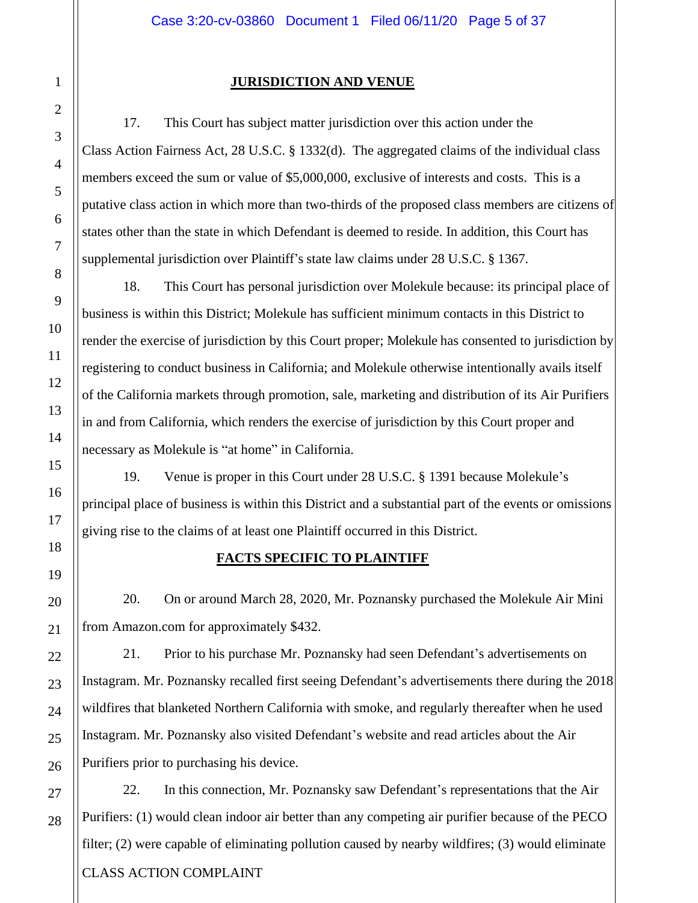### **JURISDICTION AND VENUE**

17. This Court has subject matter jurisdiction over this action under the Class Action Fairness Act, 28 U.S.C. § 1332(d). The aggregated claims of the individual class members exceed the sum or value of \$5,000,000, exclusive of interests and costs. This is a putative class action in which more than two-thirds of the proposed class members are citizens of states other than the state in which Defendant is deemed to reside. In addition, this Court has supplemental jurisdiction over Plaintiff's state law claims under 28 U.S.C. § 1367.

18. This Court has personal jurisdiction over Molekule because: its principal place of business is within this District; Molekule has sufficient minimum contacts in this District to render the exercise of jurisdiction by this Court proper; Molekule has consented to jurisdiction by registering to conduct business in California; and Molekule otherwise intentionally avails itself of the California markets through promotion, sale, marketing and distribution of its Air Purifiers in and from California, which renders the exercise of jurisdiction by this Court proper and necessary as Molekule is "at home" in California.

19. Venue is proper in this Court under 28 U.S.C. § 1391 because Molekule's principal place of business is within this District and a substantial part of the events or omissions giving rise to the claims of at least one Plaintiff occurred in this District.

## **FACTS SPECIFIC TO PLAINTIFF**

20. On or around March 28, 2020, Mr. Poznansky purchased the Molekule Air Mini from Amazon.com for approximately \$432.

21. Prior to his purchase Mr. Poznansky had seen Defendant's advertisements on Instagram. Mr. Poznansky recalled first seeing Defendant's advertisements there during the 2018 wildfires that blanketed Northern California with smoke, and regularly thereafter when he used Instagram. Mr. Poznansky also visited Defendant's website and read articles about the Air Purifiers prior to purchasing his device.

CLASS ACTION COMPLAINT 22. In this connection, Mr. Poznansky saw Defendant's representations that the Air Purifiers: (1) would clean indoor air better than any competing air purifier because of the PECO filter; (2) were capable of eliminating pollution caused by nearby wildfires; (3) would eliminate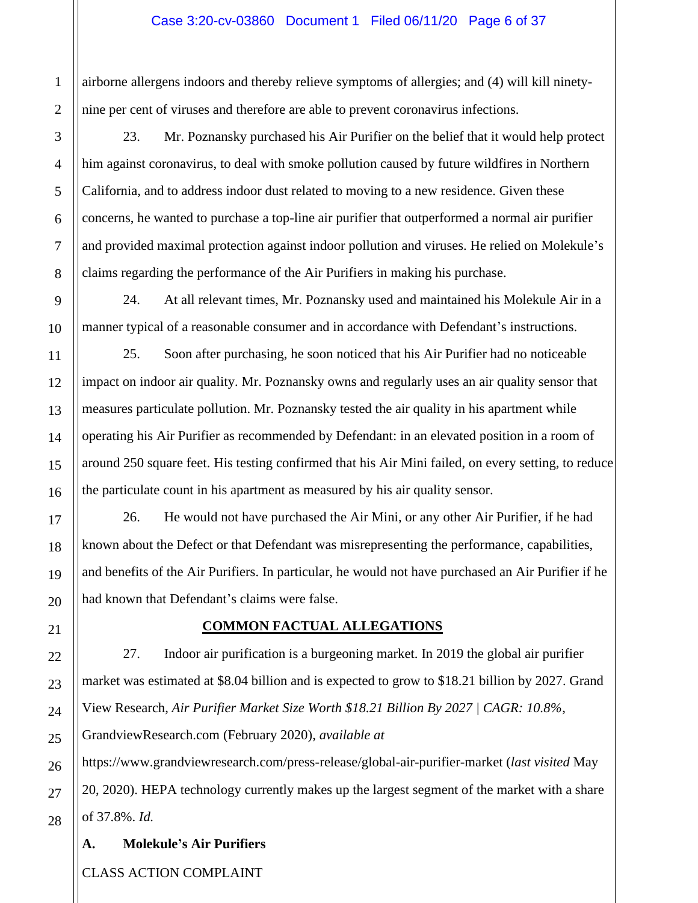#### Case 3:20-cv-03860 Document 1 Filed 06/11/20 Page 6 of 37

airborne allergens indoors and thereby relieve symptoms of allergies; and (4) will kill ninetynine per cent of viruses and therefore are able to prevent coronavirus infections.

23. Mr. Poznansky purchased his Air Purifier on the belief that it would help protect him against coronavirus, to deal with smoke pollution caused by future wildfires in Northern California, and to address indoor dust related to moving to a new residence. Given these concerns, he wanted to purchase a top-line air purifier that outperformed a normal air purifier and provided maximal protection against indoor pollution and viruses. He relied on Molekule's claims regarding the performance of the Air Purifiers in making his purchase.

24. At all relevant times, Mr. Poznansky used and maintained his Molekule Air in a manner typical of a reasonable consumer and in accordance with Defendant's instructions.

25. Soon after purchasing, he soon noticed that his Air Purifier had no noticeable impact on indoor air quality. Mr. Poznansky owns and regularly uses an air quality sensor that measures particulate pollution. Mr. Poznansky tested the air quality in his apartment while operating his Air Purifier as recommended by Defendant: in an elevated position in a room of around 250 square feet. His testing confirmed that his Air Mini failed, on every setting, to reduce the particulate count in his apartment as measured by his air quality sensor.

26. He would not have purchased the Air Mini, or any other Air Purifier, if he had known about the Defect or that Defendant was misrepresenting the performance, capabilities, and benefits of the Air Purifiers. In particular, he would not have purchased an Air Purifier if he had known that Defendant's claims were false.

### **COMMON FACTUAL ALLEGATIONS**

27. Indoor air purification is a burgeoning market. In 2019 the global air purifier market was estimated at \$8.04 billion and is expected to grow to \$18.21 billion by 2027. Grand View Research, *Air Purifier Market Size Worth \$18.21 Billion By 2027 | CAGR: 10.8%*, GrandviewResearch.com (February 2020), *available at*

<https://www.grandviewresearch.com/press-release/global-air-purifier-market> (*last visited* May 20, 2020). HEPA technology currently makes up the largest segment of the market with a share of 37.8%. *Id.*

### **A. Molekule's Air Purifiers**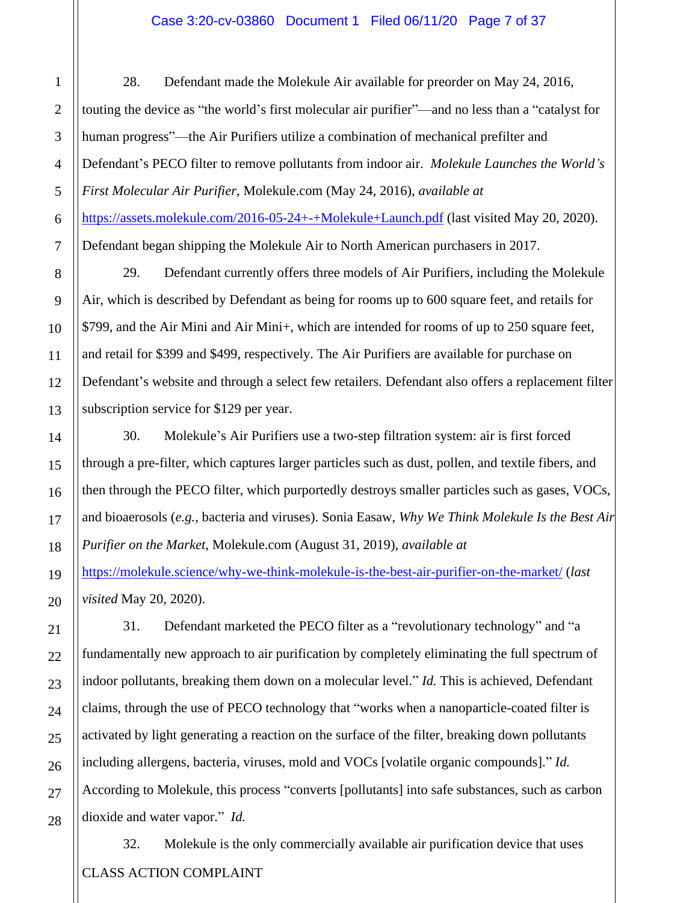#### Case 3:20-cv-03860 Document 1 Filed 06/11/20 Page 7 of 37

28. Defendant made the Molekule Air available for preorder on May 24, 2016, touting the device as "the world's first molecular air purifier"—and no less than a "catalyst for human progress"—the Air Purifiers utilize a combination of mechanical prefilter and Defendant's PECO filter to remove pollutants from indoor air. *Molekule Launches the World's First Molecular Air Purifier,* Molekule.com (May 24, 2016), *available at*  <https://assets.molekule.com/2016-05-24+-+Molekule+Launch.pdf> (last visited May 20, 2020). Defendant began shipping the Molekule Air to North American purchasers in 2017.

29. Defendant currently offers three models of Air Purifiers, including the Molekule Air, which is described by Defendant as being for rooms up to 600 square feet, and retails for \$799, and the Air Mini and Air Mini+, which are intended for rooms of up to 250 square feet, and retail for \$399 and \$499, respectively. The Air Purifiers are available for purchase on Defendant's website and through a select few retailers. Defendant also offers a replacement filter subscription service for \$129 per year.

30. Molekule's Air Purifiers use a two-step filtration system: air is first forced through a pre-filter, which captures larger particles such as dust, pollen, and textile fibers, and then through the PECO filter, which purportedly destroys smaller particles such as gases, VOCs, and bioaerosols (*e.g.*, bacteria and viruses). Sonia Easaw, *Why We Think Molekule Is the Best Air Purifier on the Market*, Molekule.com (August 31, 2019), *available at*

<https://molekule.science/why-we-think-molekule-is-the-best-air-purifier-on-the-market/> (*last visited* May 20, 2020).

31. Defendant marketed the PECO filter as a "revolutionary technology" and "a fundamentally new approach to air purification by completely eliminating the full spectrum of indoor pollutants, breaking them down on a molecular level." *Id.* This is achieved, Defendant claims, through the use of PECO technology that "works when a nanoparticle-coated filter is activated by light generating a reaction on the surface of the filter, breaking down pollutants including allergens, bacteria, viruses, mold and VOCs [volatile organic compounds]." *Id.* According to Molekule, this process "converts [pollutants] into safe substances, such as carbon dioxide and water vapor." *Id.*

CLASS ACTION COMPLAINT 32. Molekule is the only commercially available air purification device that uses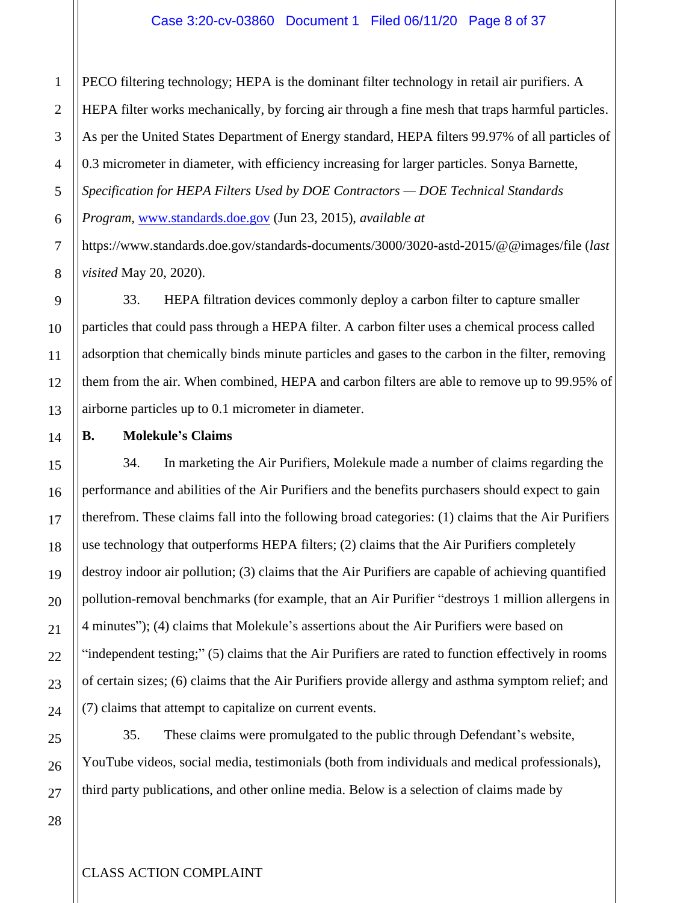PECO filtering technology; HEPA is the dominant filter technology in retail air purifiers. A HEPA filter works mechanically, by forcing air through a fine mesh that traps harmful particles. As per the United States Department of Energy standard, HEPA filters 99.97% of all particles of 0.3 micrometer in diameter, with efficiency increasing for larger particles. Sonya Barnette, *Specification for HEPA Filters Used by DOE Contractors — DOE Technical Standards Program*, [www.standards.doe.gov](http://www.standards.doe.gov/) (Jun 23, 2015), *available at* 

https://www.standards.doe.gov/standards-documents/3000/3020-astd-2015/@@images/file (*last visited* May 20, 2020).

33. HEPA filtration devices commonly deploy a carbon filter to capture smaller particles that could pass through a HEPA filter. A carbon filter uses a chemical process called adsorption that chemically binds minute particles and gases to the carbon in the filter, removing them from the air. When combined, HEPA and carbon filters are able to remove up to 99.95% of airborne particles up to 0.1 micrometer in diameter.

**B. Molekule's Claims**

34. In marketing the Air Purifiers, Molekule made a number of claims regarding the performance and abilities of the Air Purifiers and the benefits purchasers should expect to gain therefrom. These claims fall into the following broad categories: (1) claims that the Air Purifiers use technology that outperforms HEPA filters; (2) claims that the Air Purifiers completely destroy indoor air pollution; (3) claims that the Air Purifiers are capable of achieving quantified pollution-removal benchmarks (for example, that an Air Purifier "destroys 1 million allergens in 4 minutes"); (4) claims that Molekule's assertions about the Air Purifiers were based on "independent testing;" (5) claims that the Air Purifiers are rated to function effectively in rooms of certain sizes; (6) claims that the Air Purifiers provide allergy and asthma symptom relief; and (7) claims that attempt to capitalize on current events.

35. These claims were promulgated to the public through Defendant's website, YouTube videos, social media, testimonials (both from individuals and medical professionals), third party publications, and other online media. Below is a selection of claims made by

1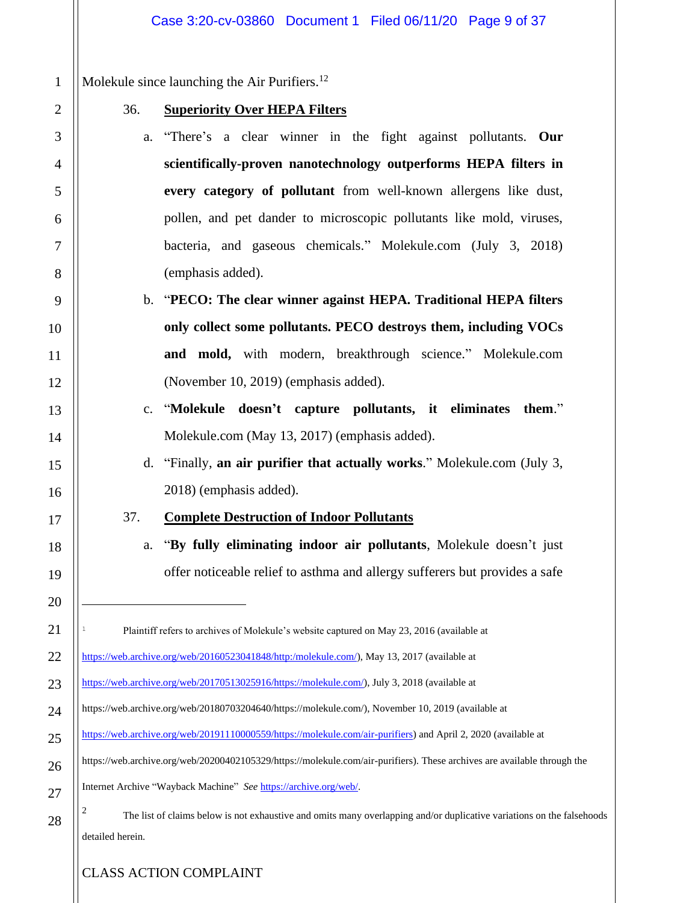Molekule since launching the Air Purifiers.<sup>12</sup>

1

2

3

4

5

6

7

8

9

10

11

12

13

14

15

16

17

18

19

20

21

22

23

24

25

26

27

28

#### 36. **Superiority Over HEPA Filters**

- a. "There's a clear winner in the fight against pollutants. **Our scientifically-proven nanotechnology outperforms HEPA filters in every category of pollutant** from well-known allergens like dust, pollen, and pet dander to microscopic pollutants like mold, viruses, bacteria, and gaseous chemicals." Molekule.com (July 3, 2018) (emphasis added).
- b. "**PECO: The clear winner against HEPA. Traditional HEPA filters only collect some pollutants. PECO destroys them, including VOCs and mold,** with modern, breakthrough science." Molekule.com (November 10, 2019) (emphasis added).
	- c. "**Molekule doesn't capture pollutants, it eliminates them**." Molekule.com (May 13, 2017) (emphasis added).
		- d. "Finally, **an air purifier that actually works**." Molekule.com (July 3, 2018) (emphasis added).
	- 37. **Complete Destruction of Indoor Pollutants**
		- a. "**By fully eliminating indoor air pollutants**, Molekule doesn't just offer noticeable relief to asthma and allergy sufferers but provides a safe

Plaintiff refers to archives of Molekule's website captured on May 23, 2016 (available at [https://web.archive.org/web/20160523041848/http:/molekule.com/\)](https://web.archive.org/web/20160523041848/http:/molekule.com/), May 13, 2017 (available at

- [https://web.archive.org/web/20170513025916/https://molekule.com/\)](https://web.archive.org/web/20170513025916/https:/molekule.com/), July 3, 2018 (available at
- [https://web.archive.org/web/20180703204640/https://molekule.com/\)](https://web.archive.org/web/20180703204640/https:/molekule.com/), November 10, 2019 (available at
- [https://web.archive.org/web/20191110000559/https://molekule.com/air-purifiers\)](https://web.archive.org/web/20191110000559/https:/molekule.com/air-purifiers) and April 2, 2020 (available at

[https://web.archive.org/web/20200402105329/https://molekule.com/air-purifiers\)](https://web.archive.org/web/20200402105329/https:/molekule.com/air-purifiers). These archives are available through the

Internet Archive "Wayback Machine" *See* [https://archive.org/web/.](https://archive.org/web/)

2 The list of claims below is not exhaustive and omits many overlapping and/or duplicative variations on the falsehoods detailed herein.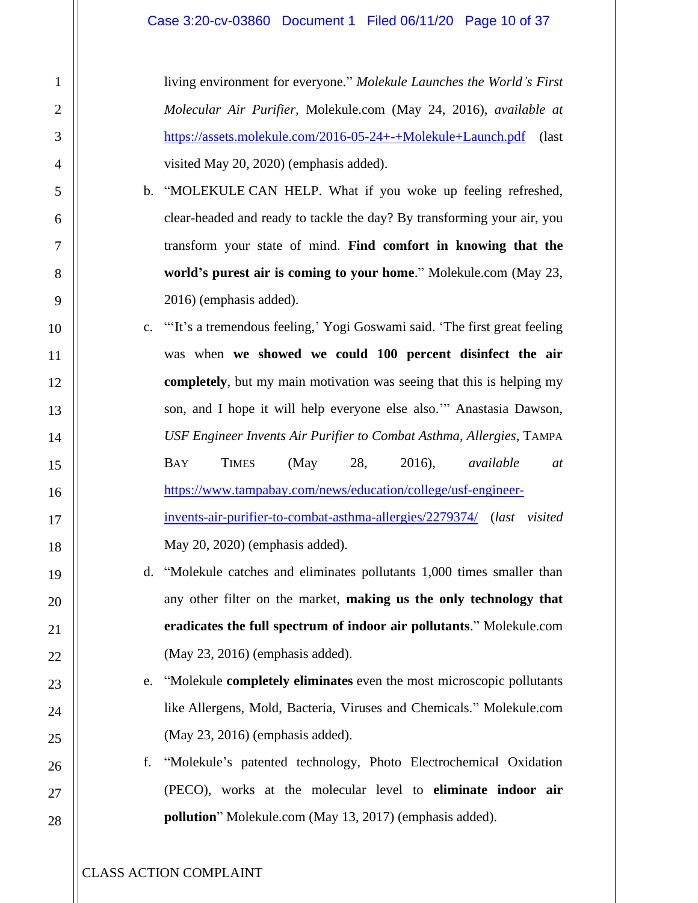living environment for everyone." *Molekule Launches the World's First Molecular Air Purifier,* Molekule.com (May 24, 2016), *available at*  <https://assets.molekule.com/2016-05-24+-+Molekule+Launch.pdf> (last visited May 20, 2020) (emphasis added).

- b. "MOLEKULE CAN HELP. What if you woke up feeling refreshed, clear-headed and ready to tackle the day? By transforming your air, you transform your state of mind. **Find comfort in knowing that the world's purest air is coming to your home**." Molekule.com (May 23, 2016) (emphasis added).
- c. "'It's a tremendous feeling,' Yogi Goswami said. 'The first great feeling was when **we showed we could 100 percent disinfect the air completely**, but my main motivation was seeing that this is helping my son, and I hope it will help everyone else also.'" Anastasia Dawson, *USF Engineer Invents Air Purifier to Combat Asthma, Allergies*, TAMPA BAY TIMES (May 28, 2016), *available at* [https://www.tampabay.com/news/education/college/usf-engineer](https://www.tampabay.com/news/education/college/usf-engineer-invents-air-purifier-to-combat-asthma-allergies/2279374/)[invents-air-purifier-to-combat-asthma-allergies/2279374/](https://www.tampabay.com/news/education/college/usf-engineer-invents-air-purifier-to-combat-asthma-allergies/2279374/) (*last visited* May 20, 2020) (emphasis added).
	- d. "Molekule catches and eliminates pollutants 1,000 times smaller than any other filter on the market, **making us the only technology that eradicates the full spectrum of indoor air pollutants**." Molekule.com (May 23, 2016) (emphasis added).
	- e. "Molekule **completely eliminates** even the most microscopic pollutants like Allergens, Mold, Bacteria, Viruses and Chemicals." Molekule.com (May 23, 2016) (emphasis added).
	- f. "Molekule's patented technology, Photo Electrochemical Oxidation (PECO), works at the molecular level to **eliminate indoor air pollution**" Molekule.com (May 13, 2017) (emphasis added).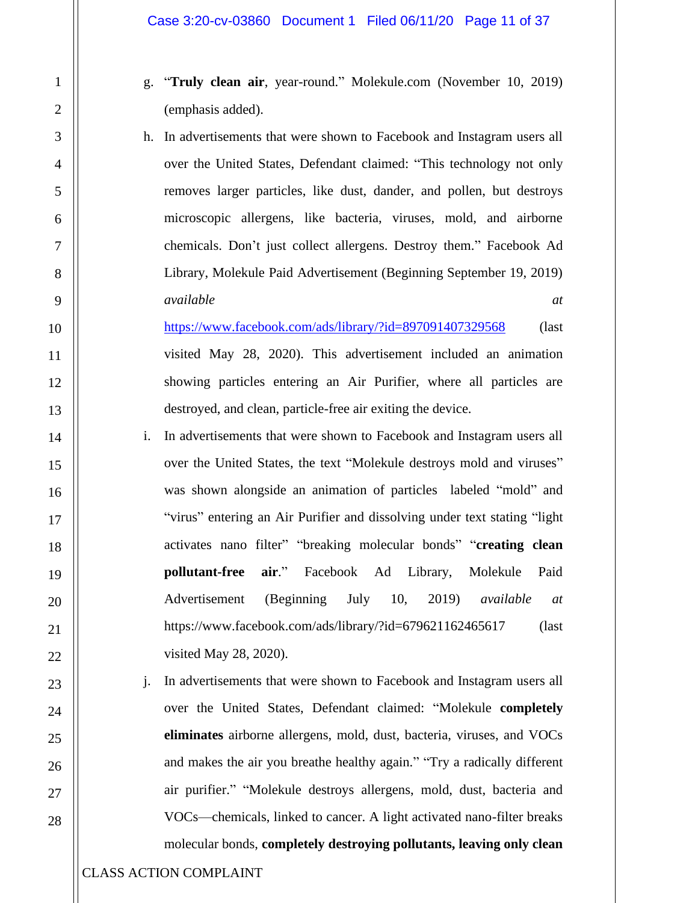- g. "**Truly clean air**, year-round." Molekule.com (November 10, 2019) (emphasis added).
- h. In advertisements that were shown to Facebook and Instagram users all over the United States, Defendant claimed: "This technology not only removes larger particles, like dust, dander, and pollen, but destroys microscopic allergens, like bacteria, viruses, mold, and airborne chemicals. Don't just collect allergens. Destroy them." Facebook Ad Library, Molekule Paid Advertisement (Beginning September 19, 2019) *available at*

<https://www.facebook.com/ads/library/?id=897091407329568> (last visited May 28, 2020). This advertisement included an animation showing particles entering an Air Purifier, where all particles are destroyed, and clean, particle-free air exiting the device.

- i. In advertisements that were shown to Facebook and Instagram users all over the United States, the text "Molekule destroys mold and viruses" was shown alongside an animation of particles labeled "mold" and "virus" entering an Air Purifier and dissolving under text stating "light activates nano filter" "breaking molecular bonds" "**creating clean pollutant-free air**." Facebook Ad Library, Molekule Paid Advertisement (Beginning July 10, 2019) *available at*  https://www.facebook.com/ads/library/?id=679621162465617 (last visited May 28, 2020).
- j. In advertisements that were shown to Facebook and Instagram users all over the United States, Defendant claimed: "Molekule **completely eliminates** airborne allergens, mold, dust, bacteria, viruses, and VOCs and makes the air you breathe healthy again." "Try a radically different air purifier." "Molekule destroys allergens, mold, dust, bacteria and VOCs—chemicals, linked to cancer. A light activated nano-filter breaks molecular bonds, **completely destroying pollutants, leaving only clean**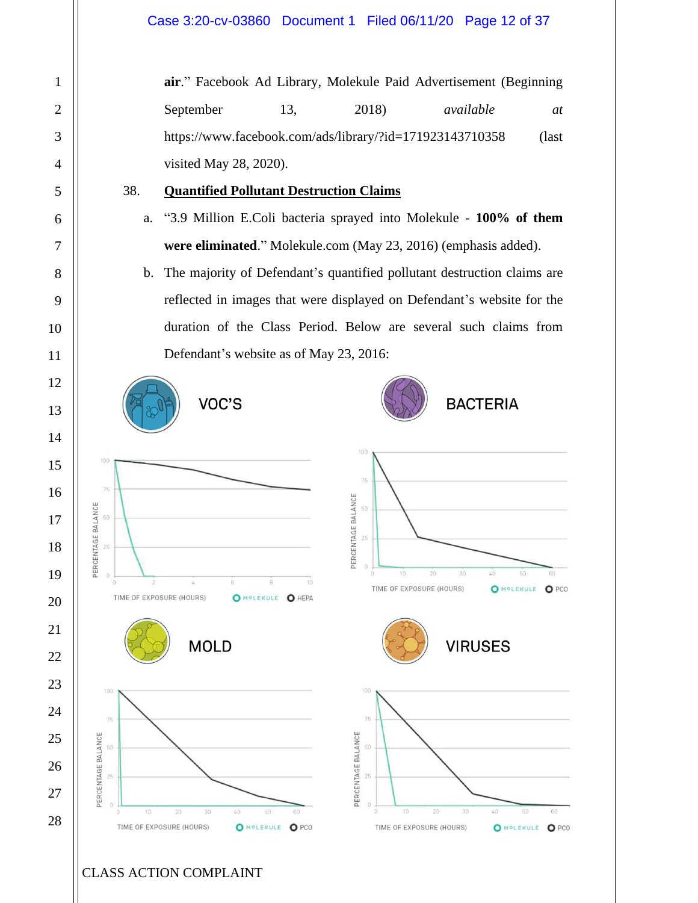**air**." Facebook Ad Library, Molekule Paid Advertisement (Beginning September 13, 2018) *available at at* https://www.facebook.com/ads/library/?id=171923143710358 (last visited May 28, 2020).

# 38. **Quantified Pollutant Destruction Claims**

- a. "3.9 Million E.Coli bacteria sprayed into Molekule **100% of them were eliminated**." Molekule.com (May 23, 2016) (emphasis added).
- b. The majority of Defendant's quantified pollutant destruction claims are reflected in images that were displayed on Defendant's website for the duration of the Class Period. Below are several such claims from Defendant's website as of May 23, 2016:











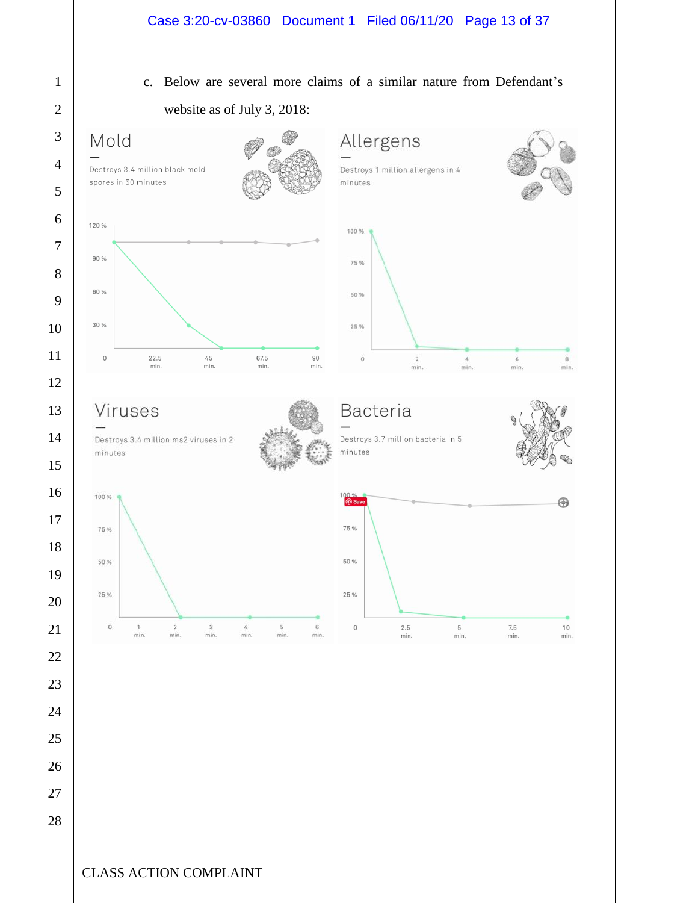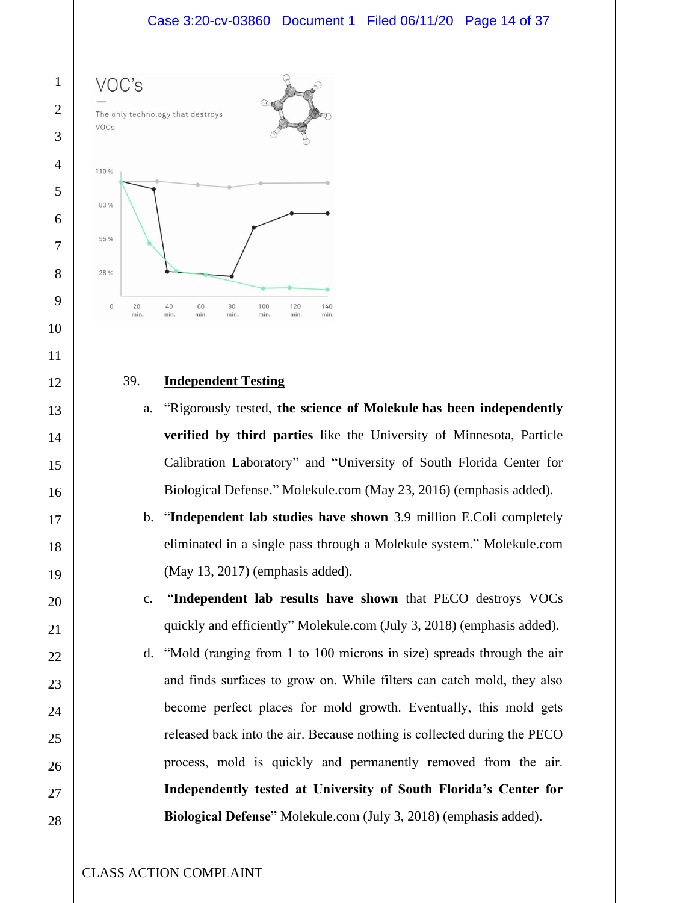

#### 39. **Independent Testing**

- a. "Rigorously tested, **the science of Molekule has been independently verified by third parties** like the University of Minnesota, Particle Calibration Laboratory" and "University of South Florida Center for Biological Defense." Molekule.com (May 23, 2016) (emphasis added).
- b. "**Independent lab studies have shown** 3.9 million E.Coli completely eliminated in a single pass through a Molekule system." Molekule.com (May 13, 2017) (emphasis added).
- c. "**Independent lab results have shown** that PECO destroys VOCs quickly and efficiently" Molekule.com (July 3, 2018) (emphasis added).
- d. "Mold (ranging from 1 to 100 microns in size) spreads through the air and finds surfaces to grow on. While filters can catch mold, they also become perfect places for mold growth. Eventually, this mold gets released back into the air. Because nothing is collected during the PECO process, mold is quickly and permanently removed from the air. **Independently tested at University of South Florida's Center for Biological Defense**" Molekule.com (July 3, 2018) (emphasis added).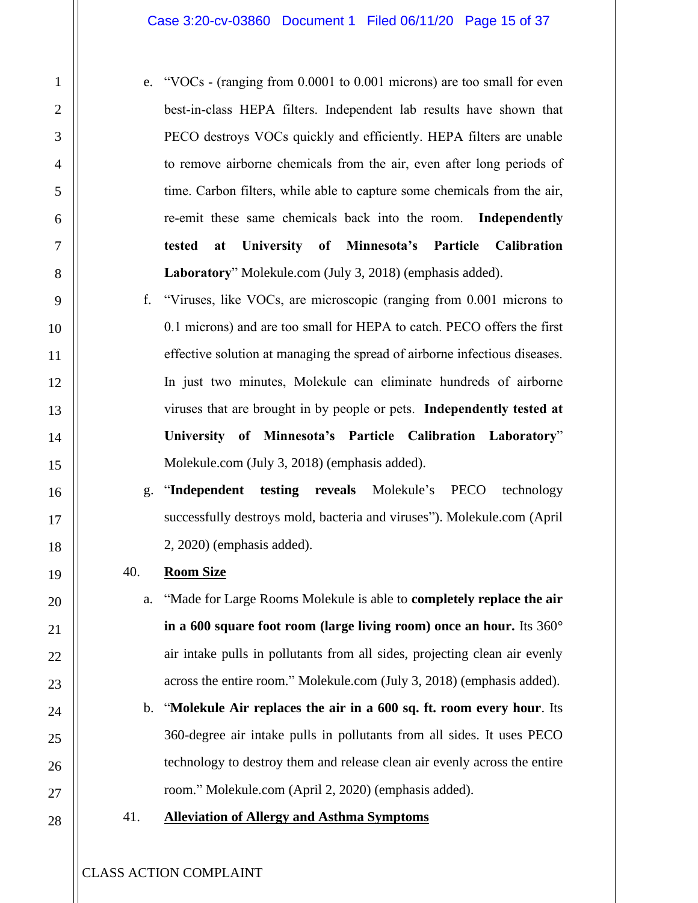- e. "VOCs (ranging from 0.0001 to 0.001 microns) are too small for even best-in-class HEPA filters. Independent lab results have shown that PECO destroys VOCs quickly and efficiently. HEPA filters are unable to remove airborne chemicals from the air, even after long periods of time. Carbon filters, while able to capture some chemicals from the air, re-emit these same chemicals back into the room.**Independently tested at University of Minnesota's Particle Calibration Laboratory**" Molekule.com (July 3, 2018) (emphasis added).
- f. "Viruses, like VOCs, are microscopic (ranging from 0.001 microns to 0.1 microns) and are too small for HEPA to catch. PECO offers the first effective solution at managing the spread of airborne infectious diseases. In just two minutes, Molekule can eliminate hundreds of airborne viruses that are brought in by people or pets.**Independently tested at University of Minnesota's Particle Calibration Laboratory**" Molekule.com (July 3, 2018) (emphasis added).
- g. "**Independent testing reveals** Molekule's PECO technology successfully destroys mold, bacteria and viruses"). Molekule.com (April 2, 2020) (emphasis added).
- 40. **Room Size**
	- a. "Made for Large Rooms Molekule is able to **completely replace the air in a 600 square foot room (large living room) once an hour.** Its 360° air intake pulls in pollutants from all sides, projecting clean air evenly across the entire room." Molekule.com (July 3, 2018) (emphasis added).
	- b. "**Molekule Air replaces the air in a 600 sq. ft. room every hour**. Its 360-degree air intake pulls in pollutants from all sides. It uses PECO technology to destroy them and release clean air evenly across the entire room." Molekule.com (April 2, 2020) (emphasis added).
- 41. **Alleviation of Allergy and Asthma Symptoms**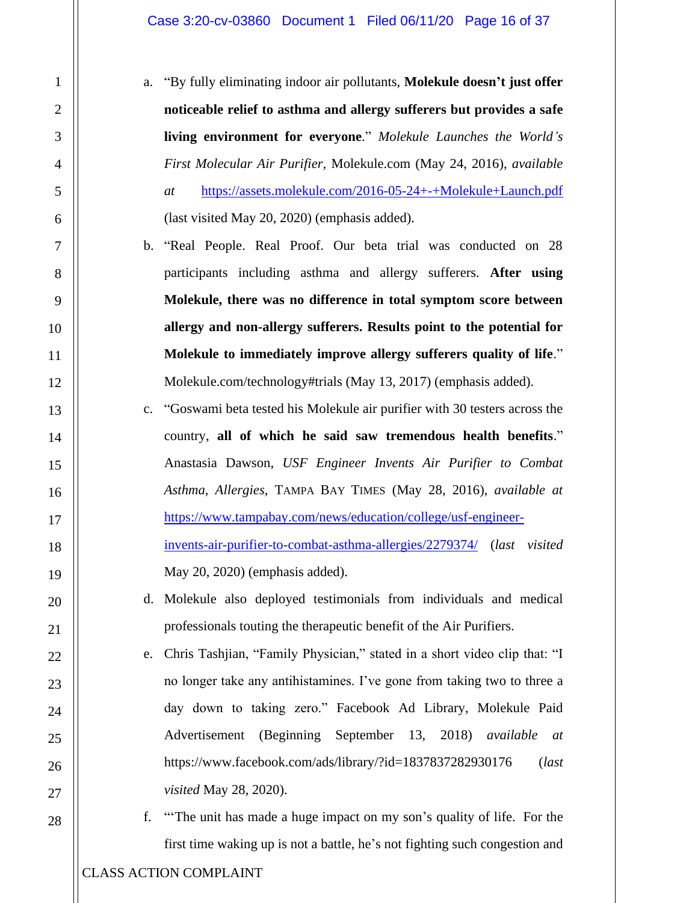- a. "By fully eliminating indoor air pollutants, **Molekule doesn't just offer noticeable relief to asthma and allergy sufferers but provides a safe living environment for everyone**." *Molekule Launches the World's First Molecular Air Purifier,* Molekule.com (May 24, 2016), *available at* <https://assets.molekule.com/2016-05-24+-+Molekule+Launch.pdf> (last visited May 20, 2020) (emphasis added).
- b. "Real People. Real Proof. Our beta trial was conducted on 28 participants including asthma and allergy sufferers. **After using Molekule, there was no difference in total symptom score between allergy and non-allergy sufferers. Results point to the potential for Molekule to immediately improve allergy sufferers quality of life**." Molekule.com/technology#trials (May 13, 2017) (emphasis added).
- c. "Goswami beta tested his Molekule air purifier with 30 testers across the country, **all of which he said saw tremendous health benefits**." Anastasia Dawson, *USF Engineer Invents Air Purifier to Combat Asthma, Allergies*, TAMPA BAY TIMES (May 28, 2016), *available at* [https://www.tampabay.com/news/education/college/usf-engineer](https://www.tampabay.com/news/education/college/usf-engineer-invents-air-purifier-to-combat-asthma-allergies/2279374/)[invents-air-purifier-to-combat-asthma-allergies/2279374/](https://www.tampabay.com/news/education/college/usf-engineer-invents-air-purifier-to-combat-asthma-allergies/2279374/) (*last visited* May 20, 2020) (emphasis added).
	- d. Molekule also deployed testimonials from individuals and medical professionals touting the therapeutic benefit of the Air Purifiers.
	- e. Chris Tashjian, "Family Physician," stated in a short video clip that: "I no longer take any antihistamines. I've gone from taking two to three a day down to taking zero." Facebook Ad Library, Molekule Paid Advertisement (Beginning September 13, 2018) *available at*  https://www.facebook.com/ads/library/?id=1837837282930176 (*last visited* May 28, 2020).
		- f. "'The unit has made a huge impact on my son's quality of life. For the first time waking up is not a battle, he's not fighting such congestion and

1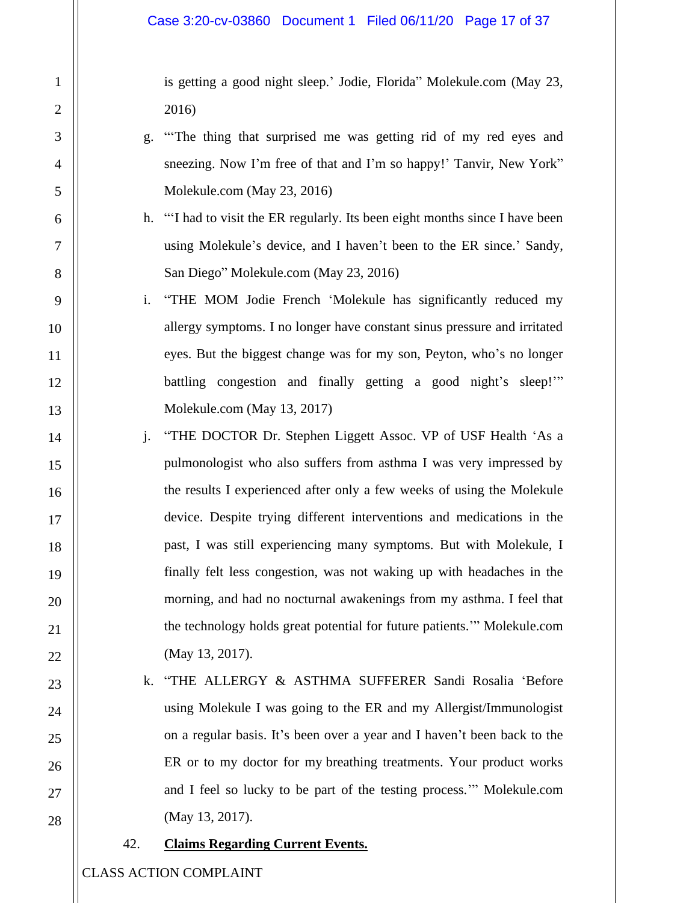is getting a good night sleep.' Jodie, Florida" Molekule.com (May 23, 2016)

- g. "'The thing that surprised me was getting rid of my red eyes and sneezing. Now I'm free of that and I'm so happy!' Tanvir, New York" Molekule.com (May 23, 2016)
- h. "'I had to visit the ER regularly. Its been eight months since I have been using Molekule's device, and I haven't been to the ER since.' Sandy, San Diego" Molekule.com (May 23, 2016)
- i. "THE MOM Jodie French 'Molekule has significantly reduced my allergy symptoms. I no longer have constant sinus pressure and irritated eyes. But the biggest change was for my son, Peyton, who's no longer battling congestion and finally getting a good night's sleep!" Molekule.com (May 13, 2017)
- j. "THE DOCTOR Dr. Stephen Liggett Assoc. VP of USF Health 'As a pulmonologist who also suffers from asthma I was very impressed by the results I experienced after only a few weeks of using the Molekule device. Despite trying different interventions and medications in the past, I was still experiencing many symptoms. But with Molekule, I finally felt less congestion, was not waking up with headaches in the morning, and had no nocturnal awakenings from my asthma. I feel that the technology holds great potential for future patients.'" Molekule.com (May 13, 2017).
	- k. "THE ALLERGY & ASTHMA SUFFERER Sandi Rosalia 'Before using Molekule I was going to the ER and my Allergist/Immunologist on a regular basis. It's been over a year and I haven't been back to the ER or to my doctor for my breathing treatments. Your product works and I feel so lucky to be part of the testing process.'" Molekule.com (May 13, 2017).

#### 42. **Claims Regarding Current Events.**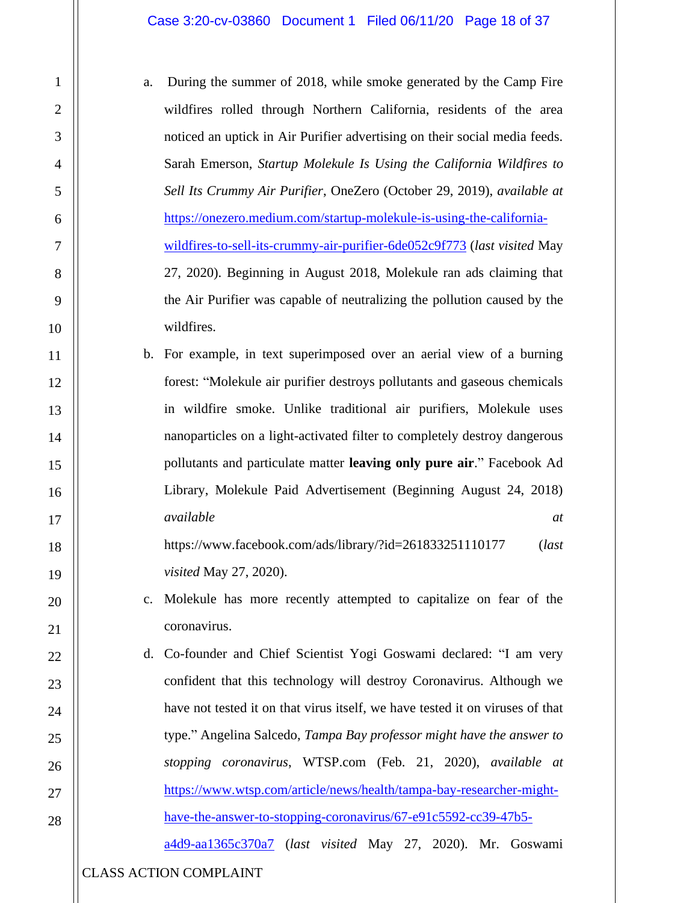- a. During the summer of 2018, while smoke generated by the Camp Fire wildfires rolled through Northern California, residents of the area noticed an uptick in Air Purifier advertising on their social media feeds. Sarah Emerson, *Startup Molekule Is Using the California Wildfires to Sell Its Crummy Air Purifier*, OneZero (October 29, 2019), *available at* [https://onezero.medium.com/startup-molekule-is-using-the-california](https://onezero.medium.com/startup-molekule-is-using-the-california-wildfires-to-sell-its-crummy-air-purifier-6de052c9f773)[wildfires-to-sell-its-crummy-air-purifier-6de052c9f773](https://onezero.medium.com/startup-molekule-is-using-the-california-wildfires-to-sell-its-crummy-air-purifier-6de052c9f773) (*last visited* May 27, 2020). Beginning in August 2018, Molekule ran ads claiming that the Air Purifier was capable of neutralizing the pollution caused by the wildfires.
- b. For example, in text superimposed over an aerial view of a burning forest: "Molekule air purifier destroys pollutants and gaseous chemicals in wildfire smoke. Unlike traditional air purifiers, Molekule uses nanoparticles on a light-activated filter to completely destroy dangerous pollutants and particulate matter **leaving only pure air**." Facebook Ad Library, Molekule Paid Advertisement (Beginning August 24, 2018) *available at* https://www.facebook.com/ads/library/?id=261833251110177 (*last*

*visited* May 27, 2020). c. Molekule has more recently attempted to capitalize on fear of the

d. Co-founder and Chief Scientist Yogi Goswami declared: "I am very confident that this technology will destroy Coronavirus. Although we have not tested it on that virus itself, we have tested it on viruses of that type." Angelina Salcedo, *Tampa Bay professor might have the answer to stopping coronavirus*, WTSP.com (Feb. 21, 2020), *available at* [https://www.wtsp.com/article/news/health/tampa-bay-researcher-might](https://www.wtsp.com/article/news/health/tampa-bay-researcher-might-have-the-answer-to-stopping-coronavirus/67-e91c5592-cc39-47b5-a4d9-aa1365c370a7)[have-the-answer-to-stopping-coronavirus/67-e91c5592-cc39-47b5-](https://www.wtsp.com/article/news/health/tampa-bay-researcher-might-have-the-answer-to-stopping-coronavirus/67-e91c5592-cc39-47b5-a4d9-aa1365c370a7)

[a4d9-aa1365c370a7](https://www.wtsp.com/article/news/health/tampa-bay-researcher-might-have-the-answer-to-stopping-coronavirus/67-e91c5592-cc39-47b5-a4d9-aa1365c370a7) (*last visited* May 27, 2020). Mr. Goswami

coronavirus.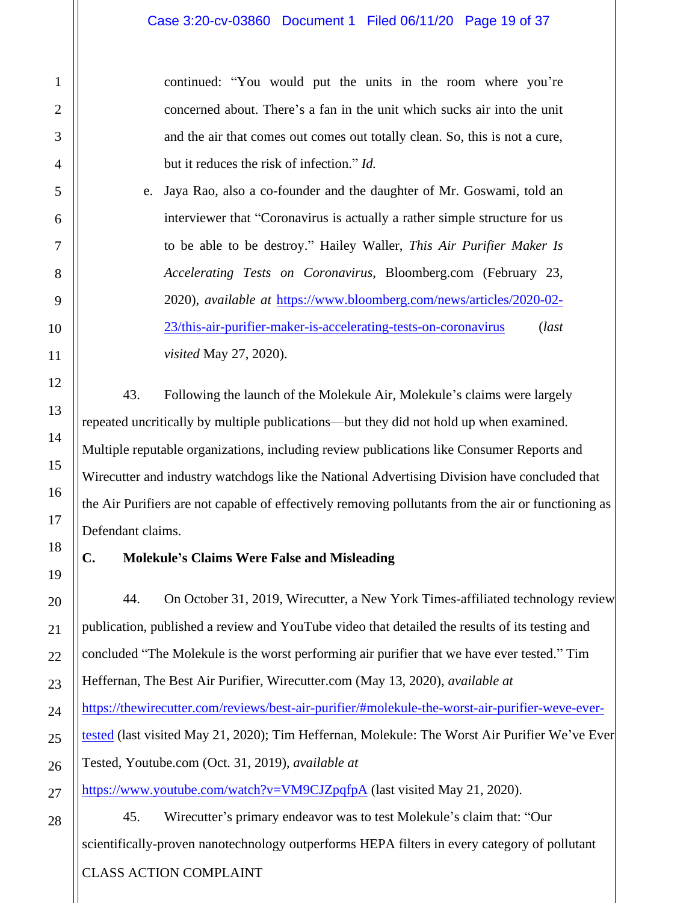continued: "You would put the units in the room where you're concerned about. There's a fan in the unit which sucks air into the unit and the air that comes out comes out totally clean. So, this is not a cure, but it reduces the risk of infection." *Id.*

e. Jaya Rao, also a co-founder and the daughter of Mr. Goswami, told an interviewer that "Coronavirus is actually a rather simple structure for us to be able to be destroy." Hailey Waller, *This Air Purifier Maker Is Accelerating Tests on Coronavirus*, Bloomberg.com (February 23, 2020), *available at* [https://www.bloomberg.com/news/articles/2020-02-](https://www.bloomberg.com/news/articles/2020-02-23/this-air-purifier-maker-is-accelerating-tests-on-coronavirus) [23/this-air-purifier-maker-is-accelerating-tests-on-coronavirus](https://www.bloomberg.com/news/articles/2020-02-23/this-air-purifier-maker-is-accelerating-tests-on-coronavirus) (*last visited* May 27, 2020).

43. Following the launch of the Molekule Air, Molekule's claims were largely repeated uncritically by multiple publications—but they did not hold up when examined. Multiple reputable organizations, including review publications like Consumer Reports and Wirecutter and industry watchdogs like the National Advertising Division have concluded that the Air Purifiers are not capable of effectively removing pollutants from the air or functioning as Defendant claims.

## **C. Molekule's Claims Were False and Misleading**

44. On October 31, 2019, Wirecutter, a New York Times-affiliated technology review publication, published a review and YouTube video that detailed the results of its testing and concluded "The Molekule is the worst performing air purifier that we have ever tested." Tim Heffernan, The Best Air Purifier, Wirecutter.com (May 13, 2020), *available at* [https://thewirecutter.com/reviews/best-air-purifier/#molekule-the-worst-air-purifier-weve-ever](https://thewirecutter.com/reviews/best-air-purifier/#molekule-the-worst-air-purifier-weve-ever-tested)[tested](https://thewirecutter.com/reviews/best-air-purifier/#molekule-the-worst-air-purifier-weve-ever-tested) (last visited May 21, 2020); Tim Heffernan, Molekule: The Worst Air Purifier We've Ever Tested, Youtube.com (Oct. 31, 2019), *available at* 

<https://www.youtube.com/watch?v=VM9CJZpqfpA> (last visited May 21, 2020).

45. Wirecutter's primary endeavor was to test Molekule's claim that: "Our scientifically-proven nanotechnology outperforms HEPA filters in every category of pollutant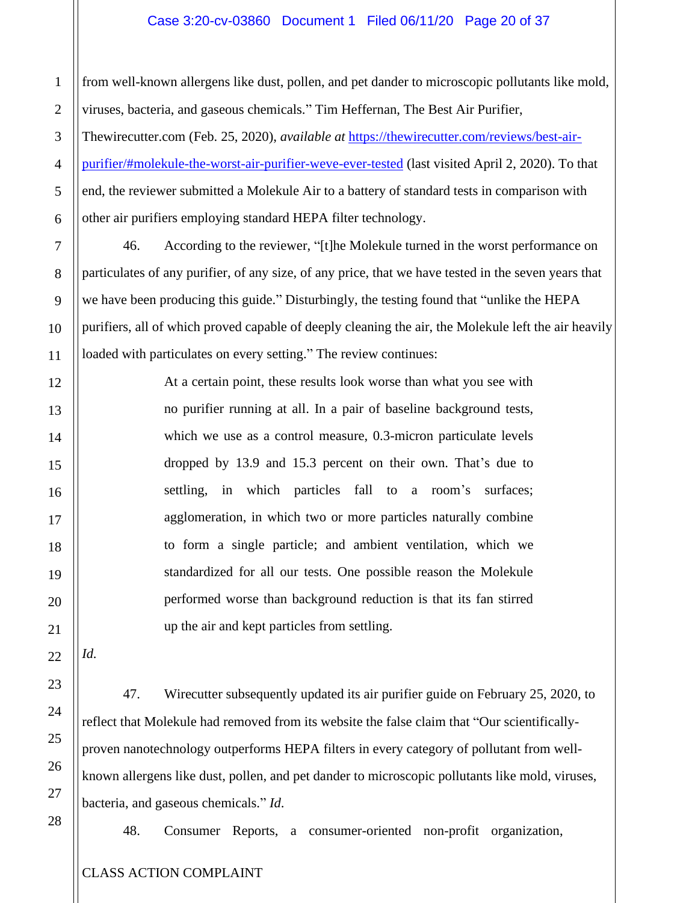#### Case 3:20-cv-03860 Document 1 Filed 06/11/20 Page 20 of 37

from well-known allergens like dust, pollen, and pet dander to microscopic pollutants like mold, viruses, bacteria, and gaseous chemicals." Tim Heffernan, The Best Air Purifier,

Thewirecutter.com (Feb. 25, 2020), *available at* [https://thewirecutter.com/reviews/best-air](https://thewirecutter.com/reviews/best-air-purifier/#molekule-the-worst-air-purifier-weve-ever-tested)[purifier/#molekule-the-worst-air-purifier-weve-ever-tested](https://thewirecutter.com/reviews/best-air-purifier/#molekule-the-worst-air-purifier-weve-ever-tested) (last visited April 2, 2020). To that end, the reviewer submitted a Molekule Air to a battery of standard tests in comparison with other air purifiers employing standard HEPA filter technology.

46. According to the reviewer, "[t]he Molekule turned in the worst performance on particulates of any purifier, of any size, of any price, that we have tested in the seven years that we have been producing this guide." Disturbingly, the testing found that "unlike the HEPA purifiers, all of which proved capable of deeply cleaning the air, the Molekule left the air heavily loaded with particulates on every setting." The review continues:

> At a certain point, these results look worse than what you see with no purifier running at all. In a pair of baseline background tests, which we use as a control measure, 0.3-micron particulate levels dropped by 13.9 and 15.3 percent on their own. That's due to settling, in which particles fall to a room's surfaces; agglomeration, in which two or more particles naturally combine to form a single particle; and ambient ventilation, which we standardized for all our tests. One possible reason the Molekule performed worse than background reduction is that its fan stirred up the air and kept particles from settling.

21 22

*Id.*

1

2

3

4

5

6

7

8

9

10

11

12

13

14

15

16

17

18

19

20

23

24

25

47. Wirecutter subsequently updated its air purifier guide on February 25, 2020, to reflect that Molekule had removed from its website the false claim that "Our scientificallyproven nanotechnology outperforms HEPA filters in every category of pollutant from wellknown allergens like dust, pollen, and pet dander to microscopic pollutants like mold, viruses, bacteria, and gaseous chemicals." *Id*.

48. Consumer Reports, a consumer-oriented non-profit organization,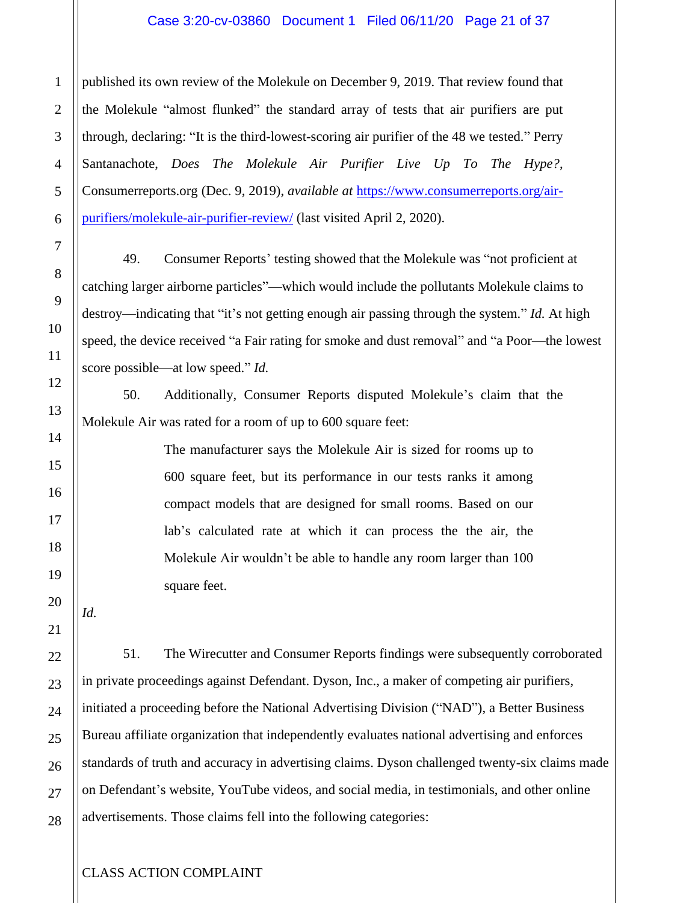#### Case 3:20-cv-03860 Document 1 Filed 06/11/20 Page 21 of 37

published its own review of the Molekule on December 9, 2019. That review found that the Molekule "almost flunked" the standard array of tests that air purifiers are put through, declaring: "It is the third-lowest-scoring air purifier of the 48 we tested." Perry Santanachote, *Does The Molekule Air Purifier Live Up To The Hype?*, Consumerreports.org (Dec. 9, 2019), *available at* [https://www.consumerreports.org/air](https://www.consumerreports.org/air-purifiers/molekule-air-purifier-review/)[purifiers/molekule-air-purifier-review/](https://www.consumerreports.org/air-purifiers/molekule-air-purifier-review/) (last visited April 2, 2020).

49. Consumer Reports' testing showed that the Molekule was "not proficient at catching larger airborne particles"—which would include the pollutants Molekule claims to destroy—indicating that "it's not getting enough air passing through the system." *Id.* At high speed, the device received "a Fair rating for smoke and dust removal" and "a Poor—the lowest score possible—at low speed." *Id.*

50. Additionally, Consumer Reports disputed Molekule's claim that the Molekule Air was rated for a room of up to 600 square feet:

> The manufacturer says the Molekule Air is sized for rooms up to 600 square feet, but its performance in our tests ranks it among compact models that are designed for small rooms. Based on our lab's calculated rate at which it can process the the air, the Molekule Air wouldn't be able to handle any room larger than 100 square feet.

*Id.* 

51. The Wirecutter and Consumer Reports findings were subsequently corroborated in private proceedings against Defendant. Dyson, Inc., a maker of competing air purifiers, initiated a proceeding before the National Advertising Division ("NAD"), a Better Business Bureau affiliate organization that independently evaluates national advertising and enforces standards of truth and accuracy in advertising claims. Dyson challenged twenty-six claims made on Defendant's website, YouTube videos, and social media, in testimonials, and other online advertisements. Those claims fell into the following categories: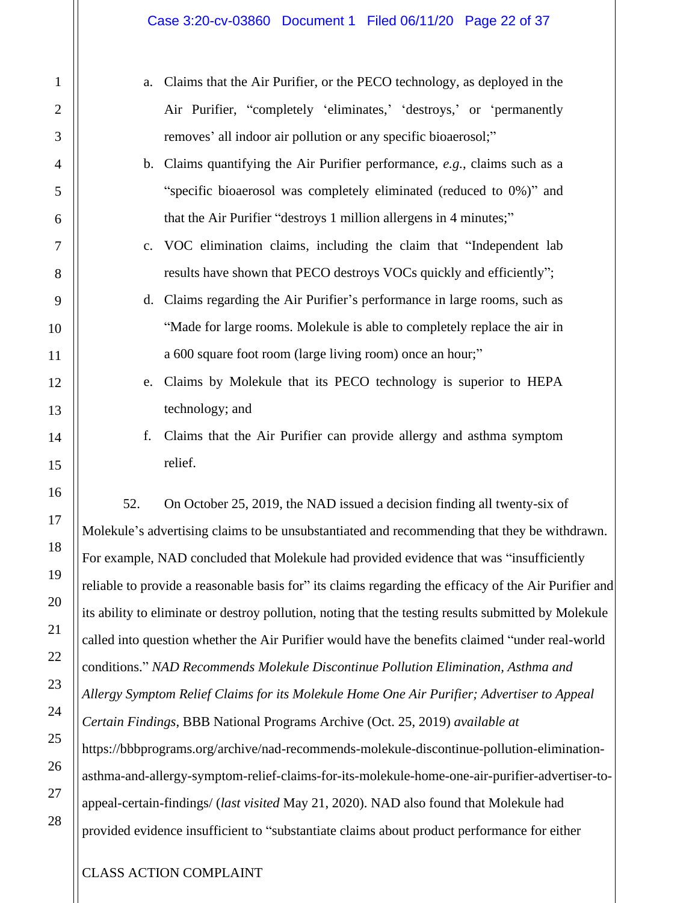- a. Claims that the Air Purifier, or the PECO technology, as deployed in the Air Purifier, "completely 'eliminates,' 'destroys,' or 'permanently removes' all indoor air pollution or any specific bioaerosol;"
- b. Claims quantifying the Air Purifier performance, *e.g.*, claims such as a "specific bioaerosol was completely eliminated (reduced to 0%)" and that the Air Purifier "destroys 1 million allergens in 4 minutes;"
- c. VOC elimination claims, including the claim that "Independent lab results have shown that PECO destroys VOCs quickly and efficiently";
- d. Claims regarding the Air Purifier's performance in large rooms, such as "Made for large rooms. Molekule is able to completely replace the air in a 600 square foot room (large living room) once an hour;"
- e. Claims by Molekule that its PECO technology is superior to HEPA technology; and
- f. Claims that the Air Purifier can provide allergy and asthma symptom relief.

52. On October 25, 2019, the NAD issued a decision finding all twenty-six of Molekule's advertising claims to be unsubstantiated and recommending that they be withdrawn. For example, NAD concluded that Molekule had provided evidence that was "insufficiently reliable to provide a reasonable basis for" its claims regarding the efficacy of the Air Purifier and its ability to eliminate or destroy pollution, noting that the testing results submitted by Molekule called into question whether the Air Purifier would have the benefits claimed "under real-world conditions." *NAD Recommends Molekule Discontinue Pollution Elimination, Asthma and Allergy Symptom Relief Claims for its Molekule Home One Air Purifier; Advertiser to Appeal Certain Findings*, BBB National Programs Archive (Oct. 25, 2019) *available at* [https://bbbprograms.org/archive/nad-recommends-molekule-discontinue-pollution-elimination](https://bbbprograms.org/archive/nad-recommends-molekule-discontinue-pollution-elimination-asthma-and-allergy-symptom-relief-claims-for-its-molekule-home-one-air-purifier-advertiser-to-appeal-certain-findings/)[asthma-and-allergy-symptom-relief-claims-for-its-molekule-home-one-air-purifier-advertiser-to](https://bbbprograms.org/archive/nad-recommends-molekule-discontinue-pollution-elimination-asthma-and-allergy-symptom-relief-claims-for-its-molekule-home-one-air-purifier-advertiser-to-appeal-certain-findings/)[appeal-certain-findings/](https://bbbprograms.org/archive/nad-recommends-molekule-discontinue-pollution-elimination-asthma-and-allergy-symptom-relief-claims-for-its-molekule-home-one-air-purifier-advertiser-to-appeal-certain-findings/) (*last visited* May 21, 2020). NAD also found that Molekule had provided evidence insufficient to "substantiate claims about product performance for either

1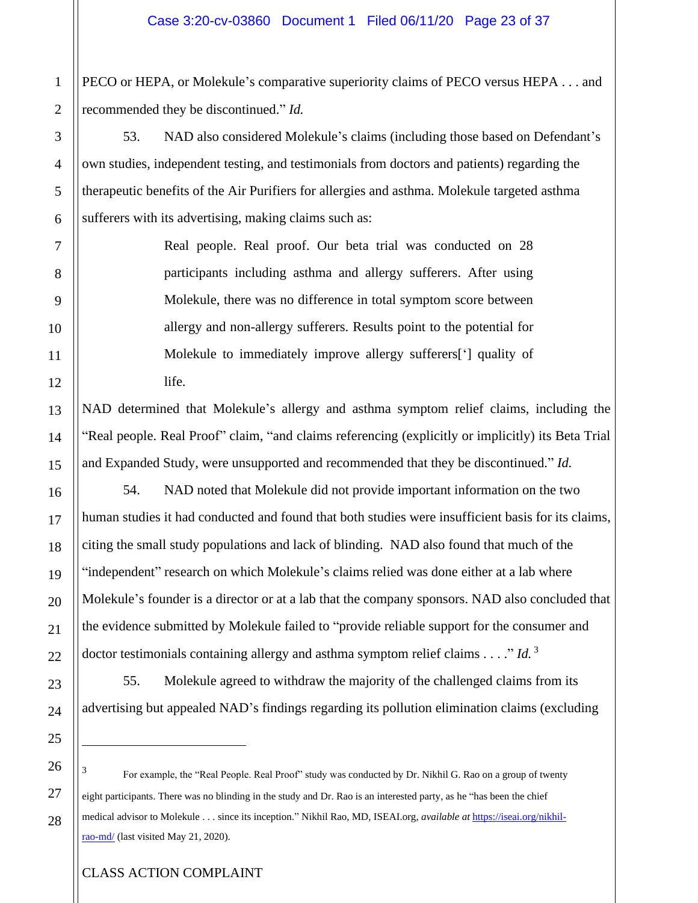PECO or HEPA, or Molekule's comparative superiority claims of PECO versus HEPA . . . and recommended they be discontinued." *Id.*

53. NAD also considered Molekule's claims (including those based on Defendant's own studies, independent testing, and testimonials from doctors and patients) regarding the therapeutic benefits of the Air Purifiers for allergies and asthma. Molekule targeted asthma sufferers with its advertising, making claims such as:

> Real people. Real proof. Our beta trial was conducted on 28 participants including asthma and allergy sufferers. After using Molekule, there was no difference in total symptom score between allergy and non-allergy sufferers. Results point to the potential for Molekule to immediately improve allergy sufferers['] quality of life.

NAD determined that Molekule's allergy and asthma symptom relief claims, including the "Real people. Real Proof" claim, "and claims referencing (explicitly or implicitly) its Beta Trial and Expanded Study, were unsupported and recommended that they be discontinued." *Id.*

54. NAD noted that Molekule did not provide important information on the two human studies it had conducted and found that both studies were insufficient basis for its claims, citing the small study populations and lack of blinding. NAD also found that much of the "independent" research on which Molekule's claims relied was done either at a lab where Molekule's founder is a director or at a lab that the company sponsors. NAD also concluded that the evidence submitted by Molekule failed to "provide reliable support for the consumer and doctor testimonials containing allergy and asthma symptom relief claims . . . ." *Id.* <sup>3</sup>

55. Molekule agreed to withdraw the majority of the challenged claims from its advertising but appealed NAD's findings regarding its pollution elimination claims (excluding

3 For example, the "Real People. Real Proof" study was conducted by Dr. Nikhil G. Rao on a group of twenty eight participants. There was no blinding in the study and Dr. Rao is an interested party, as he "has been the chief medical advisor to Molekule . . . since its inception." Nikhil Rao, MD, ISEAI.org, *available at* [https://iseai.org/nikhil](https://iseai.org/nikhil-rao-md/)[rao-md/](https://iseai.org/nikhil-rao-md/) (last visited May 21, 2020).

1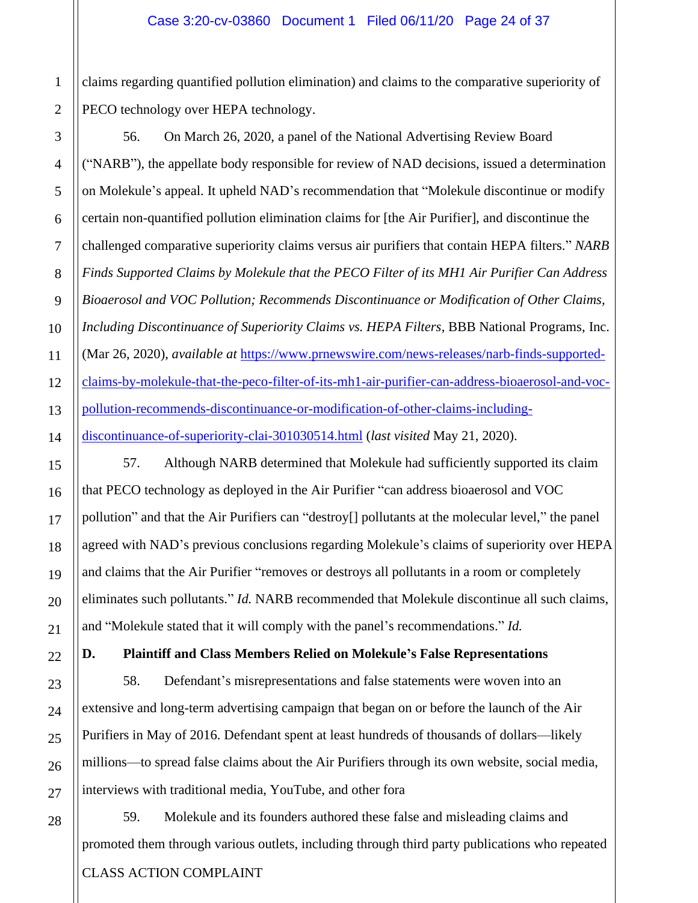claims regarding quantified pollution elimination) and claims to the comparative superiority of PECO technology over HEPA technology.

56. On March 26, 2020, a panel of the National Advertising Review Board ("NARB"), the appellate body responsible for review of NAD decisions, issued a determination on Molekule's appeal. It upheld NAD's recommendation that "Molekule discontinue or modify certain non-quantified pollution elimination claims for [the Air Purifier], and discontinue the challenged comparative superiority claims versus air purifiers that contain HEPA filters." *NARB Finds Supported Claims by Molekule that the PECO Filter of its MH1 Air Purifier Can Address Bioaerosol and VOC Pollution; Recommends Discontinuance or Modification of Other Claims, Including Discontinuance of Superiority Claims vs. HEPA Filters*, BBB National Programs, Inc. (Mar 26, 2020), *available at* [https://www.prnewswire.com/news-releases/narb-finds-supported](https://www.prnewswire.com/news-releases/narb-finds-supported-claims-by-molekule-that-the-peco-filter-of-its-mh1-air-purifier-can-address-bioaerosol-and-voc-pollution-recommends-discontinuance-or-modification-of-other-claims-including-discontinuance-of-superiority-clai-301030514.html)[claims-by-molekule-that-the-peco-filter-of-its-mh1-air-purifier-can-address-bioaerosol-and-voc](https://www.prnewswire.com/news-releases/narb-finds-supported-claims-by-molekule-that-the-peco-filter-of-its-mh1-air-purifier-can-address-bioaerosol-and-voc-pollution-recommends-discontinuance-or-modification-of-other-claims-including-discontinuance-of-superiority-clai-301030514.html)[pollution-recommends-discontinuance-or-modification-of-other-claims-including](https://www.prnewswire.com/news-releases/narb-finds-supported-claims-by-molekule-that-the-peco-filter-of-its-mh1-air-purifier-can-address-bioaerosol-and-voc-pollution-recommends-discontinuance-or-modification-of-other-claims-including-discontinuance-of-superiority-clai-301030514.html)[discontinuance-of-superiority-clai-301030514.html](https://www.prnewswire.com/news-releases/narb-finds-supported-claims-by-molekule-that-the-peco-filter-of-its-mh1-air-purifier-can-address-bioaerosol-and-voc-pollution-recommends-discontinuance-or-modification-of-other-claims-including-discontinuance-of-superiority-clai-301030514.html) (*last visited* May 21, 2020).

57. Although NARB determined that Molekule had sufficiently supported its claim that PECO technology as deployed in the Air Purifier "can address bioaerosol and VOC pollution" and that the Air Purifiers can "destroy[] pollutants at the molecular level," the panel agreed with NAD's previous conclusions regarding Molekule's claims of superiority over HEPA and claims that the Air Purifier "removes or destroys all pollutants in a room or completely eliminates such pollutants." *Id.* NARB recommended that Molekule discontinue all such claims, and "Molekule stated that it will comply with the panel's recommendations." *Id.*

**D. Plaintiff and Class Members Relied on Molekule's False Representations**

58. Defendant's misrepresentations and false statements were woven into an extensive and long-term advertising campaign that began on or before the launch of the Air Purifiers in May of 2016. Defendant spent at least hundreds of thousands of dollars—likely millions—to spread false claims about the Air Purifiers through its own website, social media, interviews with traditional media, YouTube, and other fora

CLASS ACTION COMPLAINT 59. Molekule and its founders authored these false and misleading claims and promoted them through various outlets, including through third party publications who repeated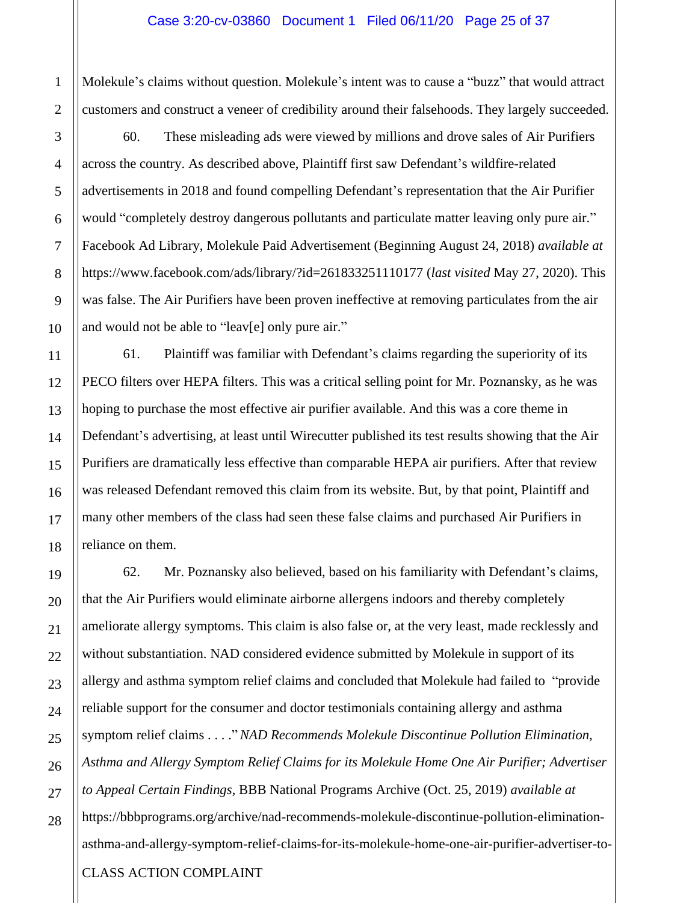Molekule's claims without question. Molekule's intent was to cause a "buzz" that would attract customers and construct a veneer of credibility around their falsehoods. They largely succeeded.

60. These misleading ads were viewed by millions and drove sales of Air Purifiers across the country. As described above, Plaintiff first saw Defendant's wildfire-related advertisements in 2018 and found compelling Defendant's representation that the Air Purifier would "completely destroy dangerous pollutants and particulate matter leaving only pure air." Facebook Ad Library, Molekule Paid Advertisement (Beginning August 24, 2018) *available at* https://www.facebook.com/ads/library/?id=261833251110177 (*last visited* May 27, 2020). This was false. The Air Purifiers have been proven ineffective at removing particulates from the air and would not be able to "leav[e] only pure air."

61. Plaintiff was familiar with Defendant's claims regarding the superiority of its PECO filters over HEPA filters. This was a critical selling point for Mr. Poznansky, as he was hoping to purchase the most effective air purifier available. And this was a core theme in Defendant's advertising, at least until Wirecutter published its test results showing that the Air Purifiers are dramatically less effective than comparable HEPA air purifiers. After that review was released Defendant removed this claim from its website. But, by that point, Plaintiff and many other members of the class had seen these false claims and purchased Air Purifiers in reliance on them.

CLASS ACTION COMPLAINT 62. Mr. Poznansky also believed, based on his familiarity with Defendant's claims, that the Air Purifiers would eliminate airborne allergens indoors and thereby completely ameliorate allergy symptoms. This claim is also false or, at the very least, made recklessly and without substantiation. NAD considered evidence submitted by Molekule in support of its allergy and asthma symptom relief claims and concluded that Molekule had failed to "provide reliable support for the consumer and doctor testimonials containing allergy and asthma symptom relief claims . . . ."*NAD Recommends Molekule Discontinue Pollution Elimination, Asthma and Allergy Symptom Relief Claims for its Molekule Home One Air Purifier; Advertiser to Appeal Certain Findings*, BBB National Programs Archive (Oct. 25, 2019) *available at* [https://bbbprograms.org/archive/nad-recommends-molekule-discontinue-pollution-elimination](https://bbbprograms.org/archive/nad-recommends-molekule-discontinue-pollution-elimination-asthma-and-allergy-symptom-relief-claims-for-its-molekule-home-one-air-purifier-advertiser-to-appeal-certain-findings/)[asthma-and-allergy-symptom-relief-claims-for-its-molekule-home-one-air-purifier-advertiser-to-](https://bbbprograms.org/archive/nad-recommends-molekule-discontinue-pollution-elimination-asthma-and-allergy-symptom-relief-claims-for-its-molekule-home-one-air-purifier-advertiser-to-appeal-certain-findings/)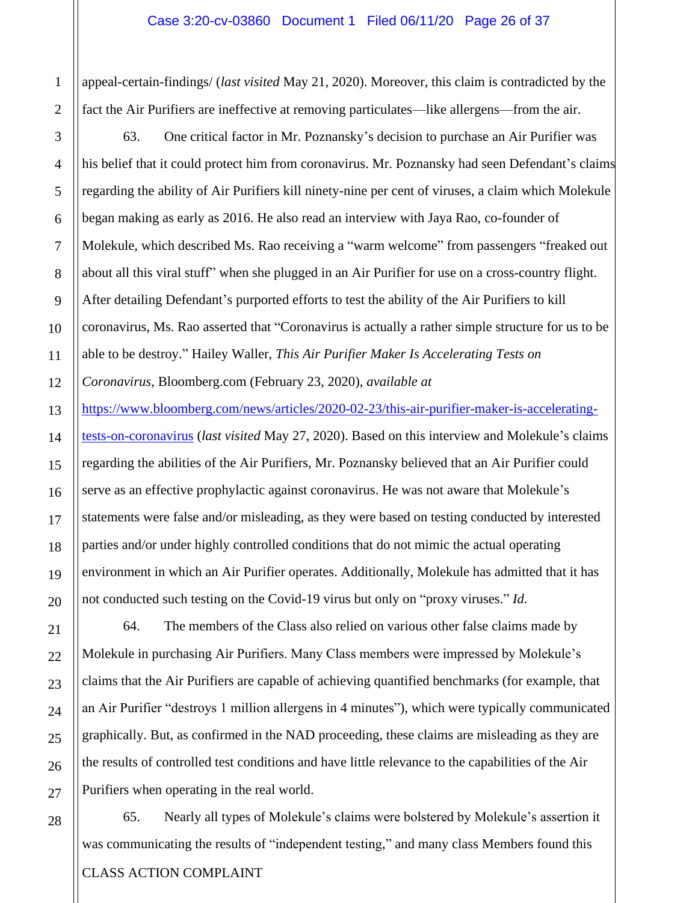[appeal-certain-findings/](https://bbbprograms.org/archive/nad-recommends-molekule-discontinue-pollution-elimination-asthma-and-allergy-symptom-relief-claims-for-its-molekule-home-one-air-purifier-advertiser-to-appeal-certain-findings/) (*last visited* May 21, 2020). Moreover, this claim is contradicted by the fact the Air Purifiers are ineffective at removing particulates—like allergens—from the air.

63. One critical factor in Mr. Poznansky's decision to purchase an Air Purifier was his belief that it could protect him from coronavirus. Mr. Poznansky had seen Defendant's claims regarding the ability of Air Purifiers kill ninety-nine per cent of viruses, a claim which Molekule began making as early as 2016. He also read an interview with Jaya Rao, co-founder of Molekule, which described Ms. Rao receiving a "warm welcome" from passengers "freaked out about all this viral stuff" when she plugged in an Air Purifier for use on a cross-country flight. After detailing Defendant's purported efforts to test the ability of the Air Purifiers to kill coronavirus, Ms. Rao asserted that "Coronavirus is actually a rather simple structure for us to be able to be destroy." Hailey Waller, *This Air Purifier Maker Is Accelerating Tests on Coronavirus*, Bloomberg.com (February 23, 2020), *available at* [https://www.bloomberg.com/news/articles/2020-02-23/this-air-purifier-maker-is-accelerating](https://www.bloomberg.com/news/articles/2020-02-23/this-air-purifier-maker-is-accelerating-tests-on-coronavirus)[tests-on-coronavirus](https://www.bloomberg.com/news/articles/2020-02-23/this-air-purifier-maker-is-accelerating-tests-on-coronavirus) (*last visited* May 27, 2020). Based on this interview and Molekule's claims regarding the abilities of the Air Purifiers, Mr. Poznansky believed that an Air Purifier could serve as an effective prophylactic against coronavirus. He was not aware that Molekule's statements were false and/or misleading, as they were based on testing conducted by interested

parties and/or under highly controlled conditions that do not mimic the actual operating environment in which an Air Purifier operates. Additionally, Molekule has admitted that it has not conducted such testing on the Covid-19 virus but only on "proxy viruses." *Id.*

64. The members of the Class also relied on various other false claims made by Molekule in purchasing Air Purifiers. Many Class members were impressed by Molekule's claims that the Air Purifiers are capable of achieving quantified benchmarks (for example, that an Air Purifier "destroys 1 million allergens in 4 minutes"), which were typically communicated graphically. But, as confirmed in the NAD proceeding, these claims are misleading as they are the results of controlled test conditions and have little relevance to the capabilities of the Air Purifiers when operating in the real world.

CLASS ACTION COMPLAINT 65. Nearly all types of Molekule's claims were bolstered by Molekule's assertion it was communicating the results of "independent testing," and many class Members found this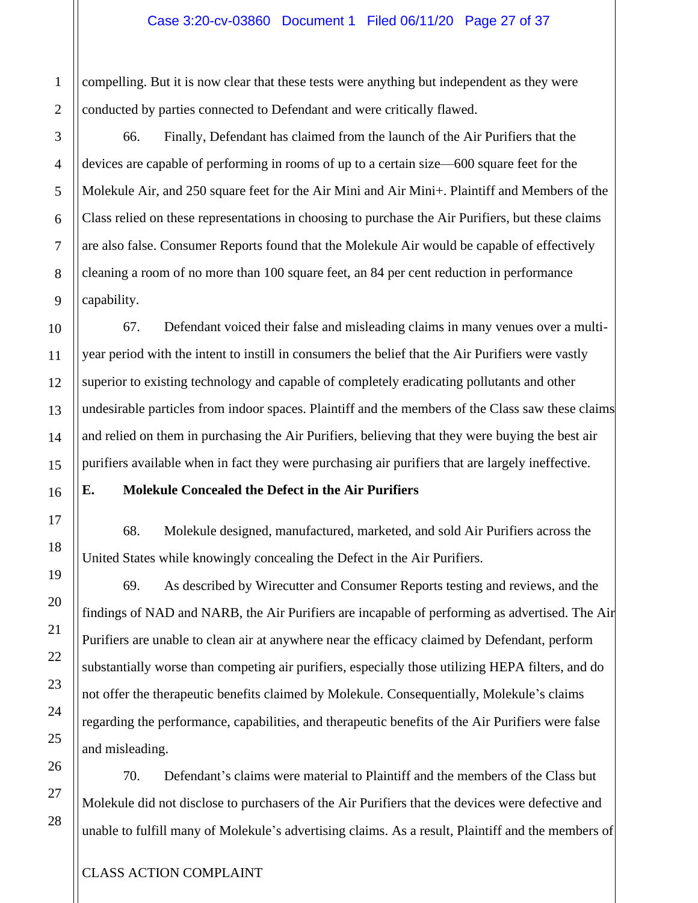compelling. But it is now clear that these tests were anything but independent as they were conducted by parties connected to Defendant and were critically flawed.

66. Finally, Defendant has claimed from the launch of the Air Purifiers that the devices are capable of performing in rooms of up to a certain size—600 square feet for the Molekule Air, and 250 square feet for the Air Mini and Air Mini+. Plaintiff and Members of the Class relied on these representations in choosing to purchase the Air Purifiers, but these claims are also false. Consumer Reports found that the Molekule Air would be capable of effectively cleaning a room of no more than 100 square feet, an 84 per cent reduction in performance capability.

67. Defendant voiced their false and misleading claims in many venues over a multiyear period with the intent to instill in consumers the belief that the Air Purifiers were vastly superior to existing technology and capable of completely eradicating pollutants and other undesirable particles from indoor spaces. Plaintiff and the members of the Class saw these claims and relied on them in purchasing the Air Purifiers, believing that they were buying the best air purifiers available when in fact they were purchasing air purifiers that are largely ineffective.

#### **E. Molekule Concealed the Defect in the Air Purifiers**

68. Molekule designed, manufactured, marketed, and sold Air Purifiers across the United States while knowingly concealing the Defect in the Air Purifiers.

69. As described by Wirecutter and Consumer Reports testing and reviews, and the findings of NAD and NARB, the Air Purifiers are incapable of performing as advertised. The Air Purifiers are unable to clean air at anywhere near the efficacy claimed by Defendant, perform substantially worse than competing air purifiers, especially those utilizing HEPA filters, and do not offer the therapeutic benefits claimed by Molekule. Consequentially, Molekule's claims regarding the performance, capabilities, and therapeutic benefits of the Air Purifiers were false and misleading.

70. Defendant's claims were material to Plaintiff and the members of the Class but Molekule did not disclose to purchasers of the Air Purifiers that the devices were defective and unable to fulfill many of Molekule's advertising claims. As a result, Plaintiff and the members of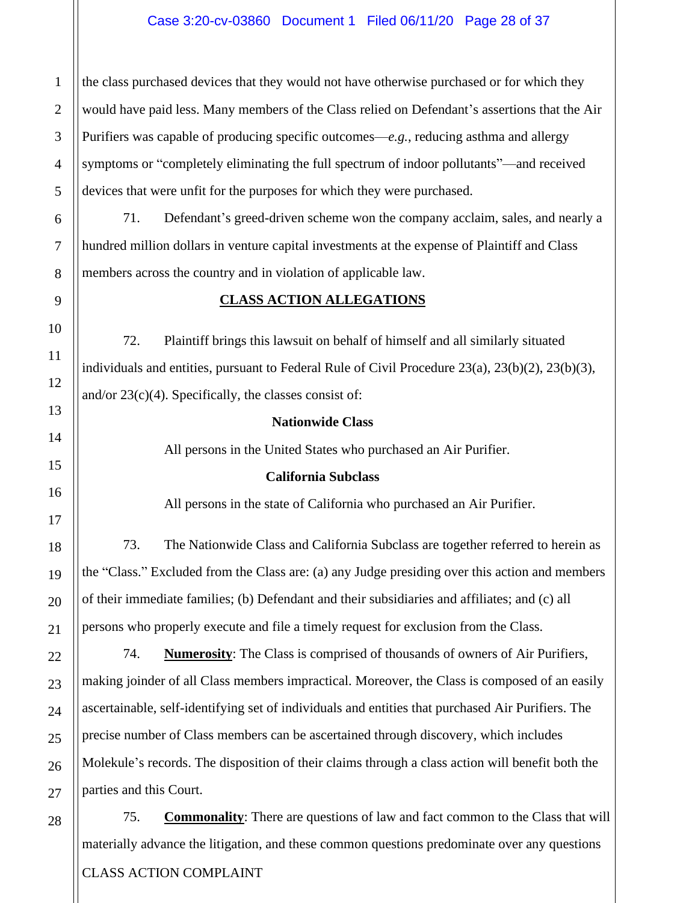#### Case 3:20-cv-03860 Document 1 Filed 06/11/20 Page 28 of 37

the class purchased devices that they would not have otherwise purchased or for which they would have paid less. Many members of the Class relied on Defendant's assertions that the Air Purifiers was capable of producing specific outcomes—*e.g.*, reducing asthma and allergy symptoms or "completely eliminating the full spectrum of indoor pollutants"—and received devices that were unfit for the purposes for which they were purchased.

71. Defendant's greed-driven scheme won the company acclaim, sales, and nearly a hundred million dollars in venture capital investments at the expense of Plaintiff and Class members across the country and in violation of applicable law.

#### **CLASS ACTION ALLEGATIONS**

72. Plaintiff brings this lawsuit on behalf of himself and all similarly situated individuals and entities, pursuant to Federal Rule of Civil Procedure  $23(a)$ ,  $23(b)(2)$ ,  $23(b)(3)$ , and/or  $23(c)(4)$ . Specifically, the classes consist of:

#### **Nationwide Class**

All persons in the United States who purchased an Air Purifier.

#### **California Subclass**

All persons in the state of California who purchased an Air Purifier.

73. The Nationwide Class and California Subclass are together referred to herein as the "Class." Excluded from the Class are: (a) any Judge presiding over this action and members of their immediate families; (b) Defendant and their subsidiaries and affiliates; and (c) all persons who properly execute and file a timely request for exclusion from the Class.

74. **Numerosity**: The Class is comprised of thousands of owners of Air Purifiers, making joinder of all Class members impractical. Moreover, the Class is composed of an easily ascertainable, self-identifying set of individuals and entities that purchased Air Purifiers. The precise number of Class members can be ascertained through discovery, which includes Molekule's records. The disposition of their claims through a class action will benefit both the parties and this Court.

CLASS ACTION COMPLAINT 75. **Commonality**: There are questions of law and fact common to the Class that will materially advance the litigation, and these common questions predominate over any questions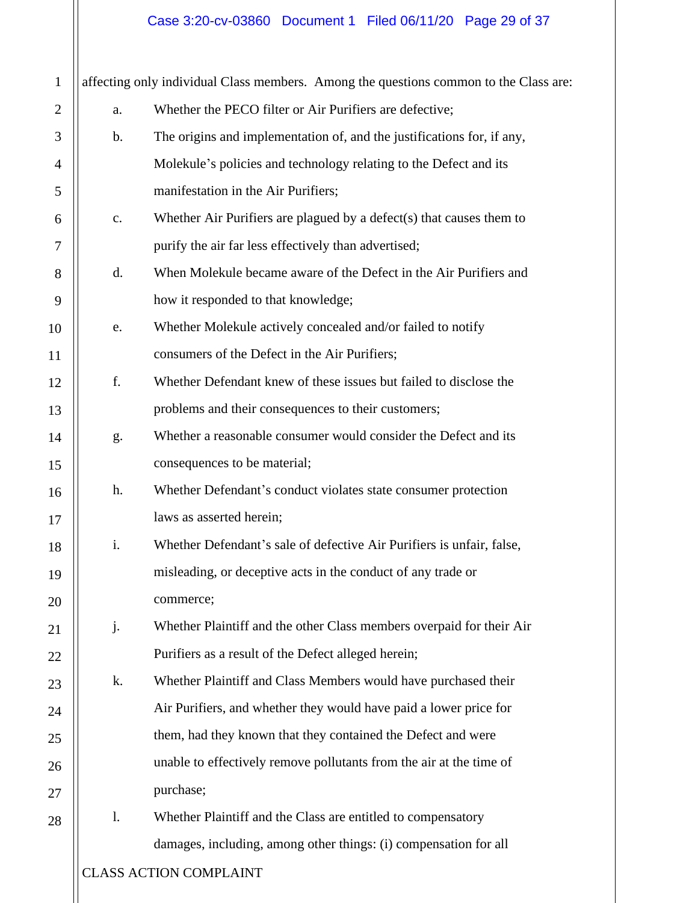# Case 3:20-cv-03860 Document 1 Filed 06/11/20 Page 29 of 37

| $\mathbf{1}$   | affecting only individual Class members. Among the questions common to the Class are: |                                                                         |
|----------------|---------------------------------------------------------------------------------------|-------------------------------------------------------------------------|
| $\overline{2}$ | a.                                                                                    | Whether the PECO filter or Air Purifiers are defective;                 |
| 3              | $\mathbf b$ .                                                                         | The origins and implementation of, and the justifications for, if any,  |
| 4              |                                                                                       | Molekule's policies and technology relating to the Defect and its       |
| 5              |                                                                                       | manifestation in the Air Purifiers;                                     |
| 6              | $\mathbf{c}$ .                                                                        | Whether Air Purifiers are plagued by a defect $(s)$ that causes them to |
| 7              |                                                                                       | purify the air far less effectively than advertised;                    |
| 8              | d.                                                                                    | When Molekule became aware of the Defect in the Air Purifiers and       |
| 9              |                                                                                       | how it responded to that knowledge;                                     |
| 10             | e.                                                                                    | Whether Molekule actively concealed and/or failed to notify             |
| 11             |                                                                                       | consumers of the Defect in the Air Purifiers;                           |
| 12             | f.                                                                                    | Whether Defendant knew of these issues but failed to disclose the       |
| 13             |                                                                                       | problems and their consequences to their customers;                     |
| 14             | g.                                                                                    | Whether a reasonable consumer would consider the Defect and its         |
| 15             |                                                                                       | consequences to be material;                                            |
| 16             | h.                                                                                    | Whether Defendant's conduct violates state consumer protection          |
| 17             |                                                                                       | laws as asserted herein;                                                |
| 18             | i.                                                                                    | Whether Defendant's sale of defective Air Purifiers is unfair, false,   |
| 19             |                                                                                       | misleading, or deceptive acts in the conduct of any trade or            |
| 20             |                                                                                       | commerce;                                                               |
| 21             | j.                                                                                    | Whether Plaintiff and the other Class members overpaid for their Air    |
| 22             |                                                                                       | Purifiers as a result of the Defect alleged herein;                     |
| 23             | k.                                                                                    | Whether Plaintiff and Class Members would have purchased their          |
| 24             |                                                                                       | Air Purifiers, and whether they would have paid a lower price for       |
| 25             |                                                                                       | them, had they known that they contained the Defect and were            |
| 26             |                                                                                       | unable to effectively remove pollutants from the air at the time of     |
| 27             |                                                                                       | purchase;                                                               |
| 28             | $\mathbf{1}$ .                                                                        | Whether Plaintiff and the Class are entitled to compensatory            |
|                |                                                                                       | damages, including, among other things: (i) compensation for all        |
|                | <b>CLASS ACTION COMPLAINT</b>                                                         |                                                                         |
|                |                                                                                       |                                                                         |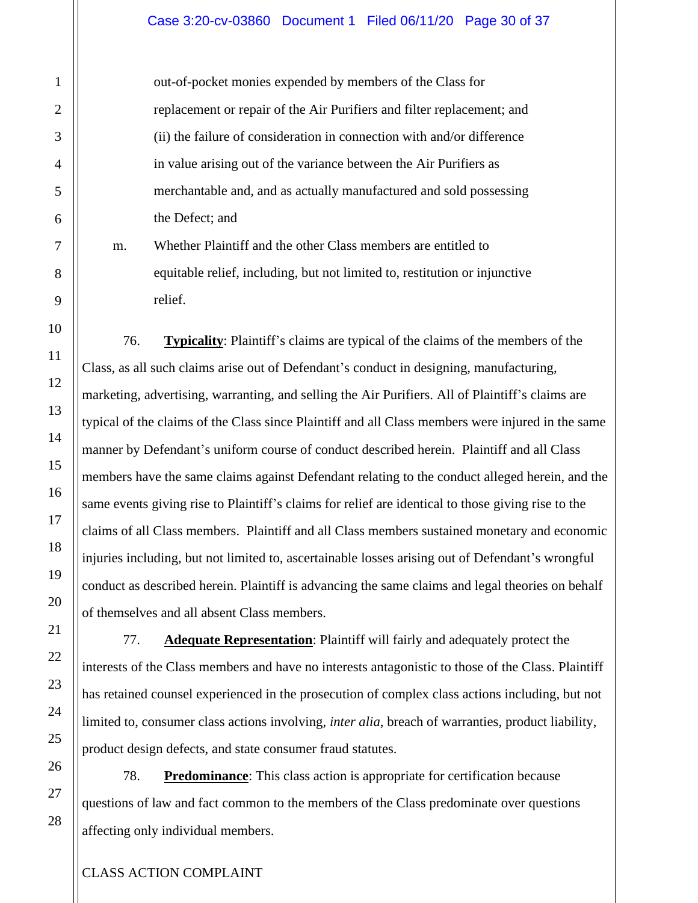#### Case 3:20-cv-03860 Document 1 Filed 06/11/20 Page 30 of 37

out-of-pocket monies expended by members of the Class for replacement or repair of the Air Purifiers and filter replacement; and (ii) the failure of consideration in connection with and/or difference in value arising out of the variance between the Air Purifiers as merchantable and, and as actually manufactured and sold possessing the Defect; and

m. Whether Plaintiff and the other Class members are entitled to equitable relief, including, but not limited to, restitution or injunctive relief.

76. **Typicality**: Plaintiff's claims are typical of the claims of the members of the Class, as all such claims arise out of Defendant's conduct in designing, manufacturing, marketing, advertising, warranting, and selling the Air Purifiers. All of Plaintiff's claims are typical of the claims of the Class since Plaintiff and all Class members were injured in the same manner by Defendant's uniform course of conduct described herein. Plaintiff and all Class members have the same claims against Defendant relating to the conduct alleged herein, and the same events giving rise to Plaintiff's claims for relief are identical to those giving rise to the claims of all Class members. Plaintiff and all Class members sustained monetary and economic injuries including, but not limited to, ascertainable losses arising out of Defendant's wrongful conduct as described herein. Plaintiff is advancing the same claims and legal theories on behalf of themselves and all absent Class members.

77. **Adequate Representation**: Plaintiff will fairly and adequately protect the interests of the Class members and have no interests antagonistic to those of the Class. Plaintiff has retained counsel experienced in the prosecution of complex class actions including, but not limited to, consumer class actions involving, *inter alia*, breach of warranties, product liability, product design defects, and state consumer fraud statutes.

78. **Predominance**: This class action is appropriate for certification because questions of law and fact common to the members of the Class predominate over questions affecting only individual members.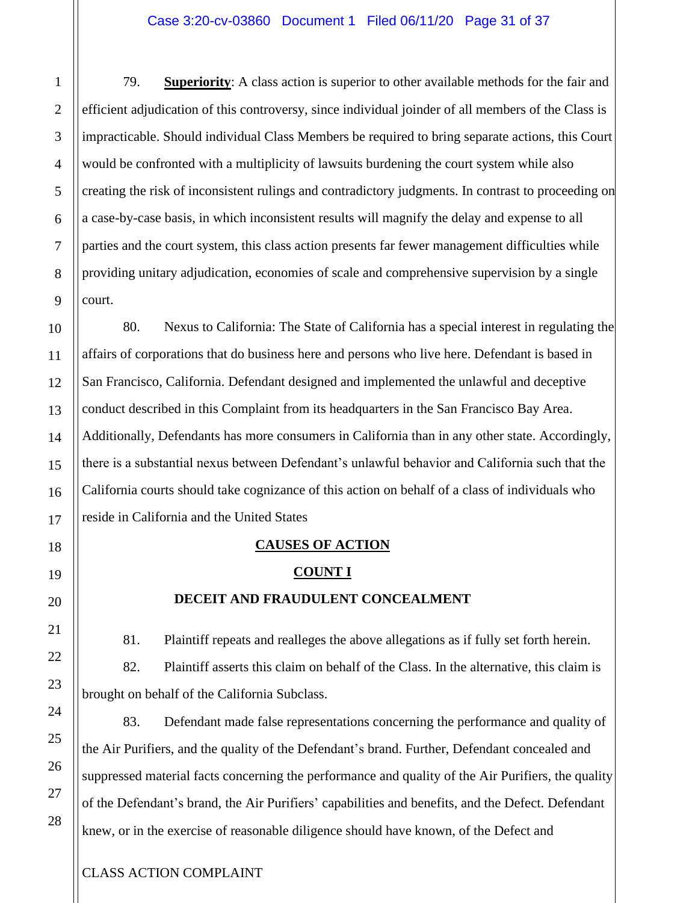79. **Superiority**: A class action is superior to other available methods for the fair and efficient adjudication of this controversy, since individual joinder of all members of the Class is impracticable. Should individual Class Members be required to bring separate actions, this Court would be confronted with a multiplicity of lawsuits burdening the court system while also creating the risk of inconsistent rulings and contradictory judgments. In contrast to proceeding on a case-by-case basis, in which inconsistent results will magnify the delay and expense to all parties and the court system, this class action presents far fewer management difficulties while providing unitary adjudication, economies of scale and comprehensive supervision by a single court.

80. Nexus to California: The State of California has a special interest in regulating the affairs of corporations that do business here and persons who live here. Defendant is based in San Francisco, California. Defendant designed and implemented the unlawful and deceptive conduct described in this Complaint from its headquarters in the San Francisco Bay Area. Additionally, Defendants has more consumers in California than in any other state. Accordingly, there is a substantial nexus between Defendant's unlawful behavior and California such that the California courts should take cognizance of this action on behalf of a class of individuals who reside in California and the United States

### **CAUSES OF ACTION**

#### **COUNT I**

### **DECEIT AND FRAUDULENT CONCEALMENT**

81. Plaintiff repeats and realleges the above allegations as if fully set forth herein.

82. Plaintiff asserts this claim on behalf of the Class. In the alternative, this claim is brought on behalf of the California Subclass.

83. Defendant made false representations concerning the performance and quality of the Air Purifiers, and the quality of the Defendant's brand. Further, Defendant concealed and suppressed material facts concerning the performance and quality of the Air Purifiers, the quality of the Defendant's brand, the Air Purifiers' capabilities and benefits, and the Defect. Defendant knew, or in the exercise of reasonable diligence should have known, of the Defect and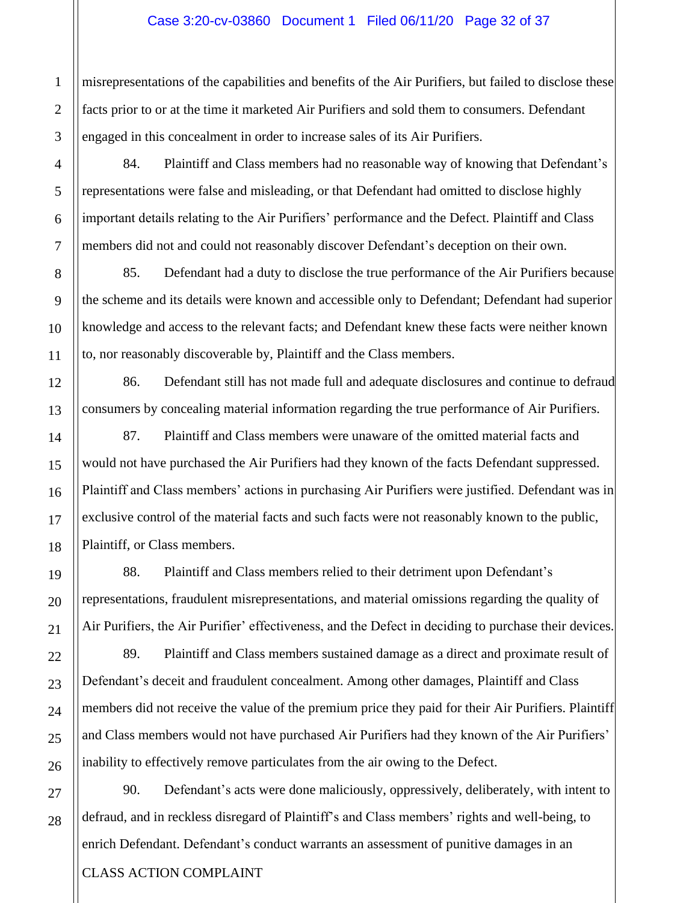#### Case 3:20-cv-03860 Document 1 Filed 06/11/20 Page 32 of 37

misrepresentations of the capabilities and benefits of the Air Purifiers, but failed to disclose these facts prior to or at the time it marketed Air Purifiers and sold them to consumers. Defendant engaged in this concealment in order to increase sales of its Air Purifiers.

84. Plaintiff and Class members had no reasonable way of knowing that Defendant's representations were false and misleading, or that Defendant had omitted to disclose highly important details relating to the Air Purifiers' performance and the Defect. Plaintiff and Class members did not and could not reasonably discover Defendant's deception on their own.

85. Defendant had a duty to disclose the true performance of the Air Purifiers because the scheme and its details were known and accessible only to Defendant; Defendant had superior knowledge and access to the relevant facts; and Defendant knew these facts were neither known to, nor reasonably discoverable by, Plaintiff and the Class members.

86. Defendant still has not made full and adequate disclosures and continue to defraud consumers by concealing material information regarding the true performance of Air Purifiers.

87. Plaintiff and Class members were unaware of the omitted material facts and would not have purchased the Air Purifiers had they known of the facts Defendant suppressed. Plaintiff and Class members' actions in purchasing Air Purifiers were justified. Defendant was in exclusive control of the material facts and such facts were not reasonably known to the public, Plaintiff, or Class members.

88. Plaintiff and Class members relied to their detriment upon Defendant's representations, fraudulent misrepresentations, and material omissions regarding the quality of Air Purifiers, the Air Purifier' effectiveness, and the Defect in deciding to purchase their devices.

89. Plaintiff and Class members sustained damage as a direct and proximate result of Defendant's deceit and fraudulent concealment. Among other damages, Plaintiff and Class members did not receive the value of the premium price they paid for their Air Purifiers. Plaintiff and Class members would not have purchased Air Purifiers had they known of the Air Purifiers' inability to effectively remove particulates from the air owing to the Defect.

CLASS ACTION COMPLAINT 90. Defendant's acts were done maliciously, oppressively, deliberately, with intent to defraud, and in reckless disregard of Plaintiff's and Class members' rights and well-being, to enrich Defendant. Defendant's conduct warrants an assessment of punitive damages in an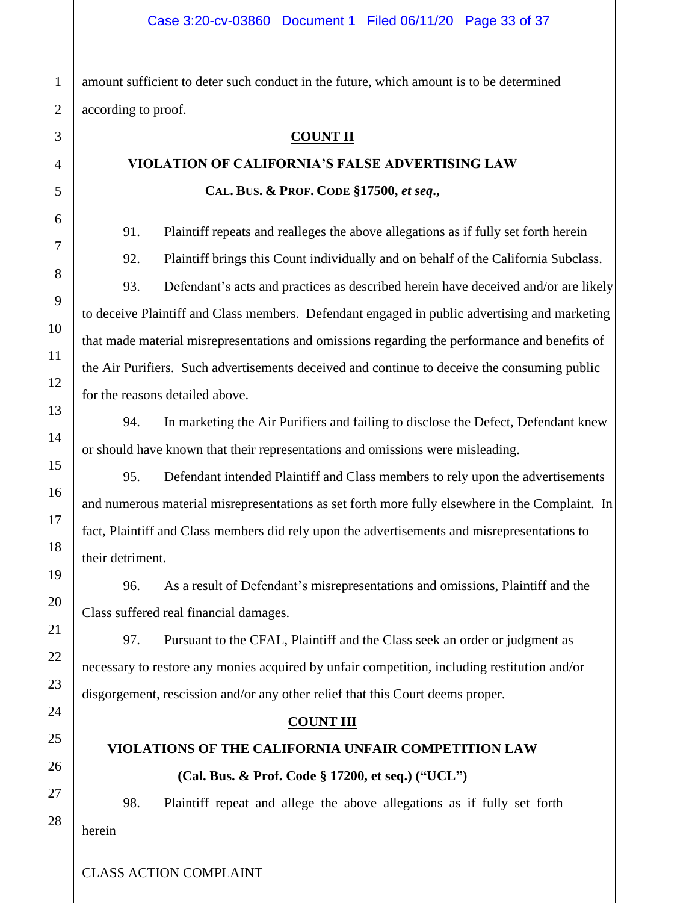amount sufficient to deter such conduct in the future, which amount is to be determined according to proof.

#### **COUNT II**

# **VIOLATION OF CALIFORNIA'S FALSE ADVERTISING LAW CAL. BUS. & PROF. CODE §17500,** *et seq***.,**

91. Plaintiff repeats and realleges the above allegations as if fully set forth herein

92. Plaintiff brings this Count individually and on behalf of the California Subclass. 93. Defendant's acts and practices as described herein have deceived and/or are likely to deceive Plaintiff and Class members. Defendant engaged in public advertising and marketing that made material misrepresentations and omissions regarding the performance and benefits of the Air Purifiers. Such advertisements deceived and continue to deceive the consuming public for the reasons detailed above.

94. In marketing the Air Purifiers and failing to disclose the Defect, Defendant knew or should have known that their representations and omissions were misleading.

95. Defendant intended Plaintiff and Class members to rely upon the advertisements and numerous material misrepresentations as set forth more fully elsewhere in the Complaint. In fact, Plaintiff and Class members did rely upon the advertisements and misrepresentations to their detriment.

96. As a result of Defendant's misrepresentations and omissions, Plaintiff and the Class suffered real financial damages.

97. Pursuant to the CFAL, Plaintiff and the Class seek an order or judgment as necessary to restore any monies acquired by unfair competition, including restitution and/or disgorgement, rescission and/or any other relief that this Court deems proper.

### **COUNT III**

# **VIOLATIONS OF THE CALIFORNIA UNFAIR COMPETITION LAW (Cal. Bus. & Prof. Code § 17200, et seq.) ("UCL")**

98. Plaintiff repeat and allege the above allegations as if fully set forth herein

1

2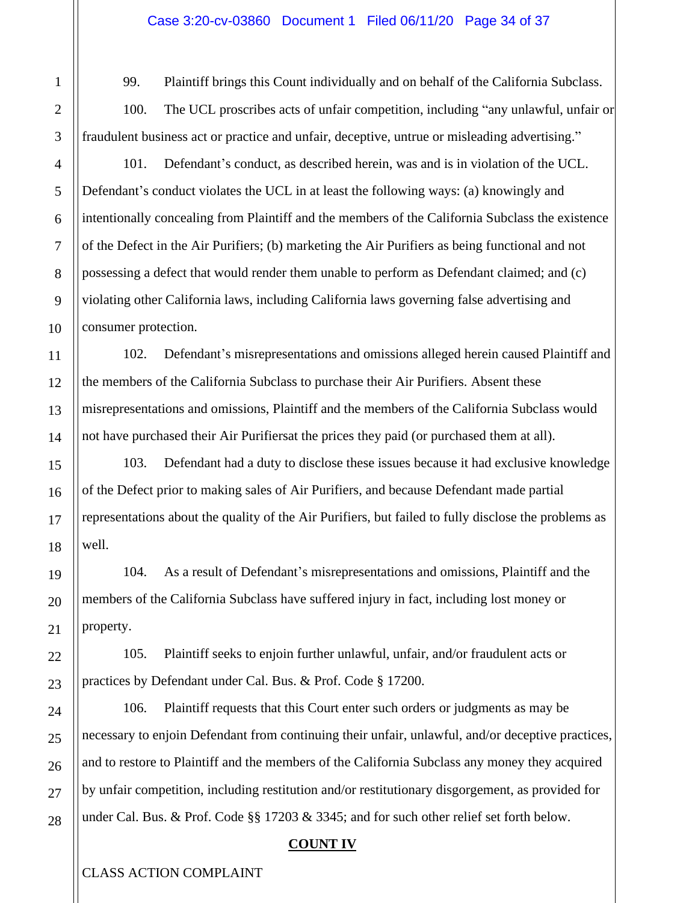99. Plaintiff brings this Count individually and on behalf of the California Subclass.

100. The UCL proscribes acts of unfair competition, including "any unlawful, unfair or fraudulent business act or practice and unfair, deceptive, untrue or misleading advertising."

101. Defendant's conduct, as described herein, was and is in violation of the UCL. Defendant's conduct violates the UCL in at least the following ways: (a) knowingly and intentionally concealing from Plaintiff and the members of the California Subclass the existence of the Defect in the Air Purifiers; (b) marketing the Air Purifiers as being functional and not possessing a defect that would render them unable to perform as Defendant claimed; and (c) violating other California laws, including California laws governing false advertising and consumer protection.

102. Defendant's misrepresentations and omissions alleged herein caused Plaintiff and the members of the California Subclass to purchase their Air Purifiers. Absent these misrepresentations and omissions, Plaintiff and the members of the California Subclass would not have purchased their Air Purifiersat the prices they paid (or purchased them at all).

103. Defendant had a duty to disclose these issues because it had exclusive knowledge of the Defect prior to making sales of Air Purifiers, and because Defendant made partial representations about the quality of the Air Purifiers, but failed to fully disclose the problems as well.

104. As a result of Defendant's misrepresentations and omissions, Plaintiff and the members of the California Subclass have suffered injury in fact, including lost money or property.

105. Plaintiff seeks to enjoin further unlawful, unfair, and/or fraudulent acts or practices by Defendant under Cal. Bus. & Prof. Code § 17200.

106. Plaintiff requests that this Court enter such orders or judgments as may be necessary to enjoin Defendant from continuing their unfair, unlawful, and/or deceptive practices, and to restore to Plaintiff and the members of the California Subclass any money they acquired by unfair competition, including restitution and/or restitutionary disgorgement, as provided for under Cal. Bus. & Prof. Code §§ 17203 & 3345; and for such other relief set forth below.

### **COUNT IV**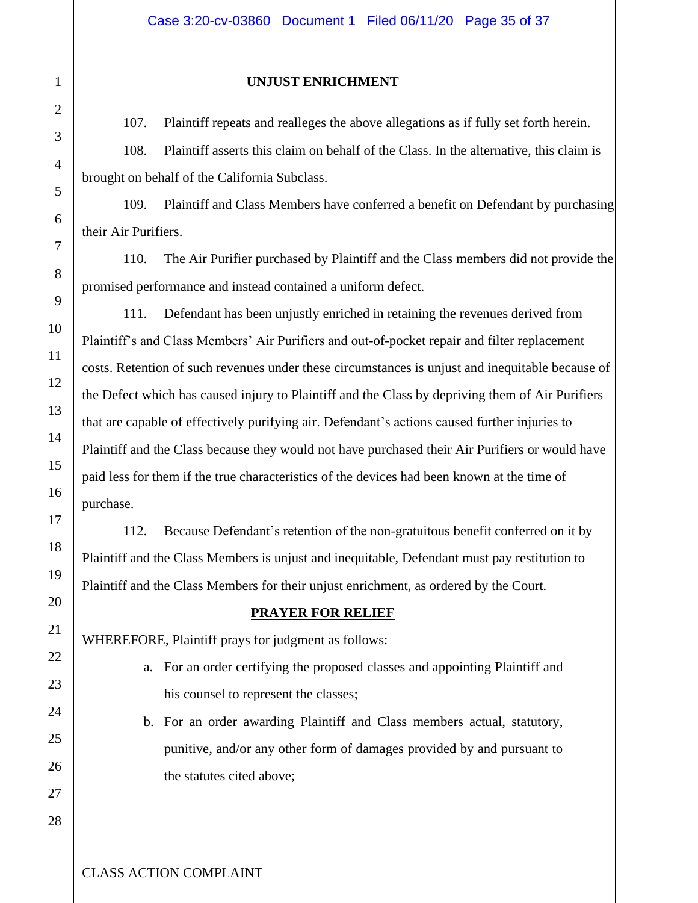### **UNJUST ENRICHMENT**

107. Plaintiff repeats and realleges the above allegations as if fully set forth herein.

108. Plaintiff asserts this claim on behalf of the Class. In the alternative, this claim is brought on behalf of the California Subclass.

109. Plaintiff and Class Members have conferred a benefit on Defendant by purchasing their Air Purifiers.

110. The Air Purifier purchased by Plaintiff and the Class members did not provide the promised performance and instead contained a uniform defect.

111. Defendant has been unjustly enriched in retaining the revenues derived from Plaintiff's and Class Members' Air Purifiers and out-of-pocket repair and filter replacement costs. Retention of such revenues under these circumstances is unjust and inequitable because of the Defect which has caused injury to Plaintiff and the Class by depriving them of Air Purifiers that are capable of effectively purifying air. Defendant's actions caused further injuries to Plaintiff and the Class because they would not have purchased their Air Purifiers or would have paid less for them if the true characteristics of the devices had been known at the time of purchase.

112. Because Defendant's retention of the non-gratuitous benefit conferred on it by Plaintiff and the Class Members is unjust and inequitable, Defendant must pay restitution to Plaintiff and the Class Members for their unjust enrichment, as ordered by the Court.

### **PRAYER FOR RELIEF**

WHEREFORE, Plaintiff prays for judgment as follows:

- a. For an order certifying the proposed classes and appointing Plaintiff and his counsel to represent the classes;
- b. For an order awarding Plaintiff and Class members actual, statutory, punitive, and/or any other form of damages provided by and pursuant to the statutes cited above;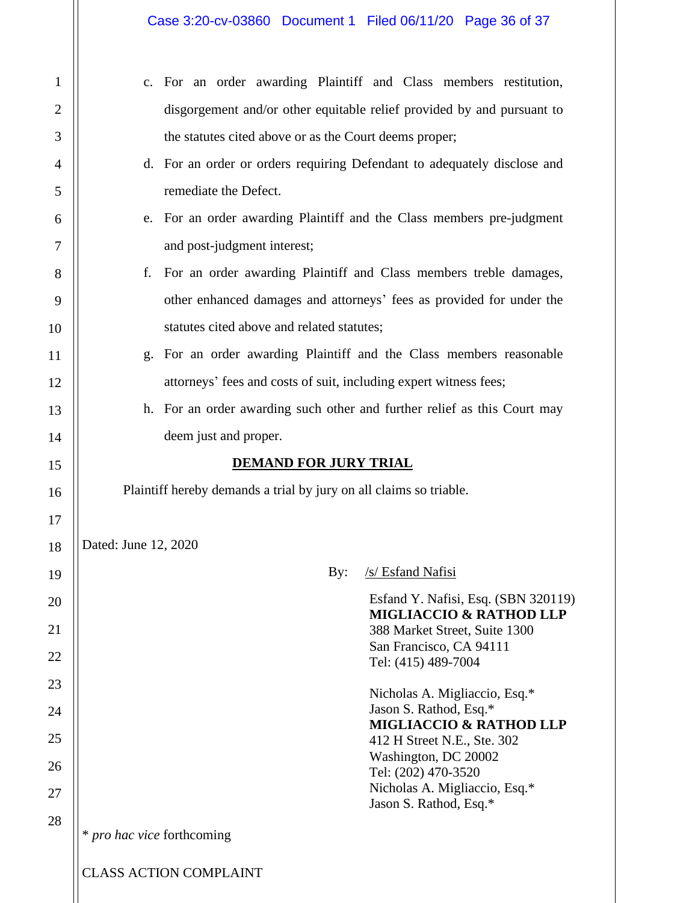| 1  | For an order awarding Plaintiff and Class members restitution,<br>$\mathbf{c}$ . |
|----|----------------------------------------------------------------------------------|
| 2  | disgorgement and/or other equitable relief provided by and pursuant to           |
| 3  | the statutes cited above or as the Court deems proper;                           |
| 4  | d. For an order or orders requiring Defendant to adequately disclose and         |
| 5  | remediate the Defect.                                                            |
| 6  | e. For an order awarding Plaintiff and the Class members pre-judgment            |
| 7  | and post-judgment interest;                                                      |
| 8  | For an order awarding Plaintiff and Class members treble damages,<br>f.          |
| 9  | other enhanced damages and attorneys' fees as provided for under the             |
| 10 | statutes cited above and related statutes;                                       |
| 11 | g. For an order awarding Plaintiff and the Class members reasonable              |
| 12 | attorneys' fees and costs of suit, including expert witness fees;                |
| 13 | h. For an order awarding such other and further relief as this Court may         |
| 14 | deem just and proper.                                                            |
| 15 | <b>DEMAND FOR JURY TRIAL</b>                                                     |
| 16 | Plaintiff hereby demands a trial by jury on all claims so triable.               |
| 17 |                                                                                  |
| 18 | Dated: June 12, 2020                                                             |
| 19 | /s/ Esfand Nafisi<br>By:                                                         |
| 20 | Esfand Y. Nafisi, Esq. (SBN 320119)<br><b>MIGLIACCIO &amp; RATHOD LLP</b>        |
| 21 | 388 Market Street, Suite 1300<br>San Francisco, CA 94111                         |
| 22 | Tel: (415) 489-7004                                                              |
| 23 | Nicholas A. Migliaccio, Esq.*                                                    |
| 24 | Jason S. Rathod, Esq.*<br><b>MIGLIACCIO &amp; RATHOD LLP</b>                     |
| 25 | 412 H Street N.E., Ste. 302<br>Washington, DC 20002                              |
| 26 | Tel: (202) 470-3520                                                              |
| 27 | Nicholas A. Migliaccio, Esq.*<br>Jason S. Rathod, Esq.*                          |
| 28 | * pro hac vice forthcoming                                                       |
|    |                                                                                  |